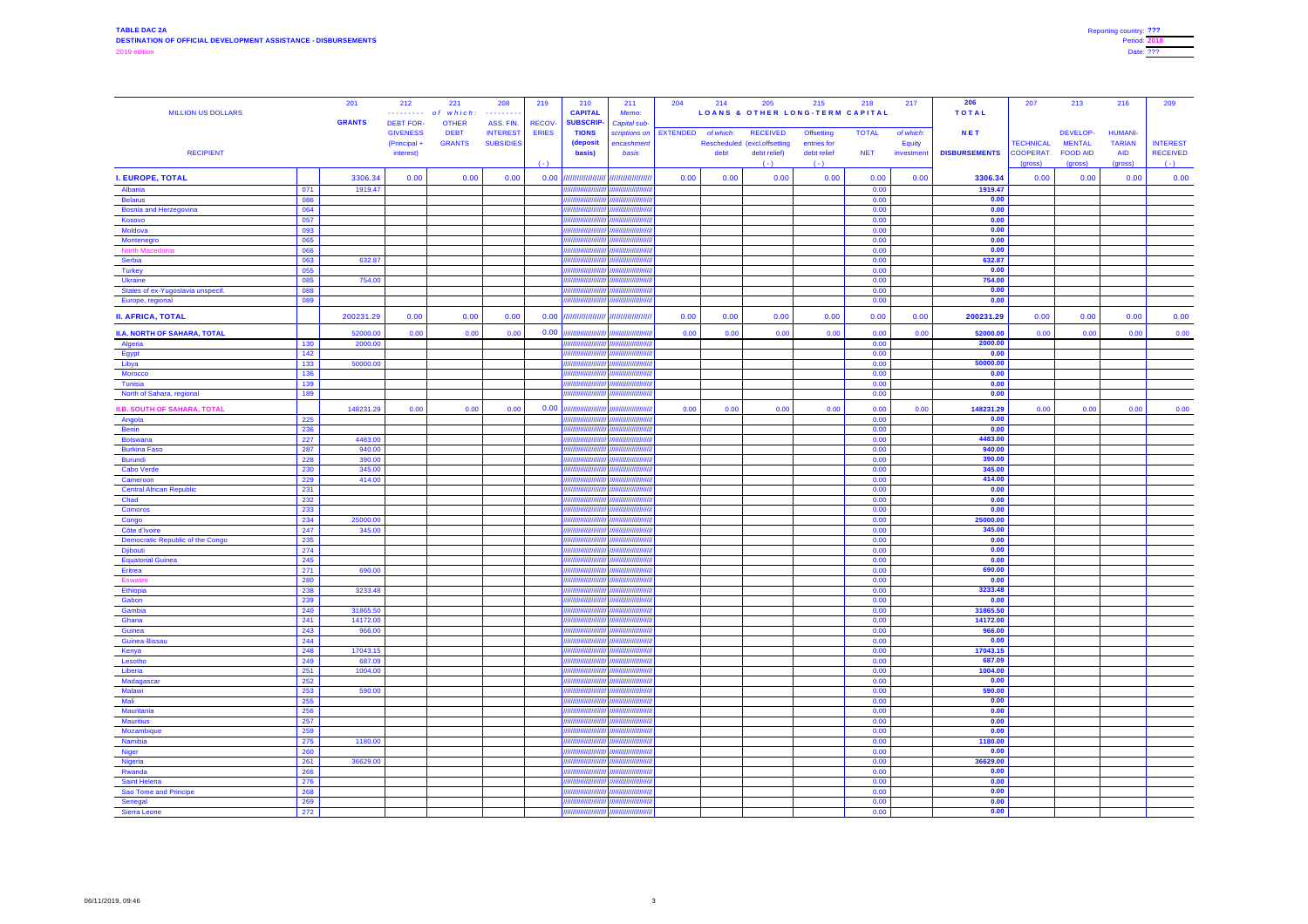| <b>MILLION US DOLLARS</b>                           |            | 201<br><b>GRANTS</b> | 212<br>. <b>.</b> .<br><b>DEBT FOR-</b>    | 221<br>of which:<br><b>OTHER</b> | 208<br>.<br>ASS. FIN.               | 219<br><b>RECOV-</b>  | 210<br><b>CAPITAL</b><br><b>SUBSCRIP-</b> | 211<br>Memo:<br>Capital sub-                           | 204             | 214               | 205<br><b>LOANS &amp; OTHER LONG-TERM CAPITAL</b>               | 215                                             | 218                        | 217                                     | 206<br><b>TOTAL</b><br><b>NET</b> | 207                           | 213                                          | 216                                           | 209                                |
|-----------------------------------------------------|------------|----------------------|--------------------------------------------|----------------------------------|-------------------------------------|-----------------------|-------------------------------------------|--------------------------------------------------------|-----------------|-------------------|-----------------------------------------------------------------|-------------------------------------------------|----------------------------|-----------------------------------------|-----------------------------------|-------------------------------|----------------------------------------------|-----------------------------------------------|------------------------------------|
| <b>RECIPIENT</b>                                    |            |                      | <b>GIVENESS</b><br>(Principal<br>interest) | <b>DEBT</b><br><b>GRANTS</b>     | <b>INTEREST</b><br><b>SUBSIDIES</b> | <b>ERIES</b><br>$(-)$ | <b>TIONS</b><br>(deposit<br>basis)        | scriptions on<br>encashment<br>basis                   | <b>EXTENDED</b> | of which:<br>debt | <b>RECEIVED</b><br>Rescheduled (excl.offsetting<br>debt relief) | <b>Offsetting</b><br>entries for<br>debt relief | <b>TOTAL</b><br><b>NET</b> | of which:<br><b>Equity</b><br>investmen | <b>DISBURSEMENTS</b>              | <b>TECHNICAL</b><br>COOPERAT. | DEVELOP-<br><b>MENTAL</b><br><b>FOOD AID</b> | <b>HUMANI-</b><br><b>TARIAN</b><br><b>AID</b> | <b>INTEREST</b><br><b>RECEIVED</b> |
| <b>I. EUROPE, TOTAL</b>                             |            | 3306.34              | 0.00                                       | 0.00                             | 0.00                                | 0.00                  |                                           |                                                        | 0.00            | 0.00              | $(-)$<br>0.00                                                   | $( - )$<br>0.00                                 | 0.00                       | 0.00                                    | 3306.34                           | (gross)<br>0.00               | (gross)<br>0.00                              | (gross)<br>0.00                               | $(-)$<br>0.00                      |
| Albania                                             | 071        | 1919.47              |                                            |                                  |                                     |                       |                                           |                                                        |                 |                   |                                                                 |                                                 | 0.00                       |                                         | 1919.47                           |                               |                                              |                                               |                                    |
| <b>Belarus</b>                                      | 086        |                      |                                            |                                  |                                     |                       |                                           | <b>HIIIIIIIIIIIIIIIIII</b><br>ulmmmmm                  |                 |                   |                                                                 |                                                 | 0.00                       |                                         | 0.00                              |                               |                                              |                                               |                                    |
| <b>Bosnia and Herzegovina</b><br>Kosovo             | 064<br>057 |                      |                                            |                                  |                                     |                       |                                           |                                                        |                 |                   |                                                                 |                                                 | 0.00<br>0.00               |                                         | 0.00<br>0.00                      |                               |                                              |                                               |                                    |
| Moldova                                             | 093        |                      |                                            |                                  |                                     |                       |                                           | <i><b>MAHAMANININ</b></i>                              |                 |                   |                                                                 |                                                 | 0.00                       |                                         | 0.00                              |                               |                                              |                                               |                                    |
| Montenegro                                          | 065        |                      |                                            |                                  |                                     |                       |                                           | <i><b>ANNIMANA (MILANA)</b></i>                        |                 |                   |                                                                 |                                                 | 0.00                       |                                         | 0.00                              |                               |                                              |                                               |                                    |
| <b>North Macedonia</b>                              | 066        |                      |                                            |                                  |                                     |                       |                                           | <b>AHHHHHHHHIP</b>                                     |                 |                   |                                                                 |                                                 | 0.00                       |                                         | 0.00                              |                               |                                              |                                               |                                    |
| Serbia                                              | 063<br>055 | 632.87               |                                            |                                  |                                     |                       |                                           | <b>HIIIIIIIIIIIIIIIII</b> III                          |                 |                   |                                                                 |                                                 | 0.00<br>0.00               |                                         | 632.87<br>0.00                    |                               |                                              |                                               |                                    |
| <b>Turkey</b><br><b>Ukraine</b>                     | 085        | 754.00               |                                            |                                  |                                     |                       |                                           | $\sqrt{nmmmmm}$                                        |                 |                   |                                                                 |                                                 | 0.00                       |                                         | 754.00                            |                               |                                              |                                               |                                    |
| States of ex-Yugoslavia unspecif.                   | 088        |                      |                                            |                                  |                                     |                       |                                           | <i><b>HHHHHHHHH</b></i>                                |                 |                   |                                                                 |                                                 | 0.00                       |                                         | 0.00                              |                               |                                              |                                               |                                    |
| Europe, regional                                    | 089        |                      |                                            |                                  |                                     |                       |                                           |                                                        |                 |                   |                                                                 |                                                 | 0.00                       |                                         | 0.00                              |                               |                                              |                                               |                                    |
| <b>II. AFRICA, TOTAL</b>                            |            | 200231.29            | 0.00                                       | 0.00                             | 0.00                                | 0.00                  |                                           |                                                        | 0.00            | 0.00              | 0.00                                                            | 0.00                                            | 0.00                       | 0.00                                    | 200231.29                         | 0.00                          | 0.00                                         | 0.00                                          | 0.00                               |
| <b>II.A. NORTH OF SAHARA, TOTAL</b>                 |            | 52000.00             | 0.00                                       | 0.00                             | 0.00                                | 0.00                  |                                           | <i><b>HHHHHHHII</b>I</i>                               | 0.00            | 0.00              | 0.00                                                            | 0.00                                            | 0.00                       | 0.00                                    | 52000.00                          | 0.00                          | 0.00                                         | 0.00                                          | 0.00                               |
| Algeria                                             | 130        | 2000.00              |                                            |                                  |                                     |                       |                                           | a\ <i>mmmmmmm</i>                                      |                 |                   |                                                                 |                                                 | 0.00                       |                                         | 2000.00                           |                               |                                              |                                               |                                    |
| Egypt<br>Libya                                      | 142<br>133 | 50000.00             |                                            |                                  |                                     |                       |                                           | ,,,,,,,,,,<br>///////////////////                      |                 |                   |                                                                 |                                                 | 0.00<br>0.00               |                                         | 0.00<br>50000.00                  |                               |                                              |                                               |                                    |
| <b>Morocco</b>                                      | 136        |                      |                                            |                                  |                                     |                       |                                           | <u> Линишшши</u>                                       |                 |                   |                                                                 |                                                 | 0.00                       |                                         | 0.00                              |                               |                                              |                                               |                                    |
| <b>Tunisia</b>                                      | 139        |                      |                                            |                                  |                                     |                       |                                           | <i><b>ANIMINININI</b></i>                              |                 |                   |                                                                 |                                                 | 0.00                       |                                         | 0.00                              |                               |                                              |                                               |                                    |
| North of Sahara, regional                           | 189        |                      |                                            |                                  |                                     |                       |                                           | <i><b>AHHHHHHHH</b></i>                                |                 |                   |                                                                 |                                                 | 0.00                       |                                         | 0.00                              |                               |                                              |                                               |                                    |
| <b>II.B. SOUTH OF SAHARA, TOTAL</b>                 |            | 148231.29            | 0.00                                       | 0.00                             | 0.00                                | 0.00                  |                                           | <i><b>JIIIIIIIIIIIIIIIIII</b>III</i>                   | 0.00            | 0.00              | 0.00                                                            | 0.00                                            | 0.00                       | 0.00                                    | 148231.29                         | 0.00                          | 0.00                                         | 0.00                                          | 0.00                               |
| Angola                                              | 225        |                      |                                            |                                  |                                     |                       |                                           | ,,,,,,,,,,,,,,,,,,,,,,,,                               |                 |                   |                                                                 |                                                 | 0.00                       |                                         | 0.00                              |                               |                                              |                                               |                                    |
| <b>Benin</b>                                        | 236        |                      |                                            |                                  |                                     |                       |                                           | //////////////////                                     |                 |                   |                                                                 |                                                 | 0.00                       |                                         | 0.00                              |                               |                                              |                                               |                                    |
| <b>Botswana</b><br><b>Burkina Faso</b>              | 227<br>287 | 4483.00<br>940.00    |                                            |                                  |                                     |                       |                                           | ///////////////////<br>A <i>nmunmumy</i>               |                 |                   |                                                                 |                                                 | 0.00<br>0.00               |                                         | 4483.00<br>940.00                 |                               |                                              |                                               |                                    |
| <b>Burundi</b>                                      | 228        | 390.00               |                                            |                                  |                                     |                       |                                           |                                                        |                 |                   |                                                                 |                                                 | 0.00                       |                                         | 390.00                            |                               |                                              |                                               |                                    |
| <b>Cabo Verde</b>                                   | 230        | 345.00               |                                            |                                  |                                     |                       |                                           | <i><b>HIIIIIIIIIIIIIIIIII</b></i>                      |                 |                   |                                                                 |                                                 | 0.00                       |                                         | 345.00                            |                               |                                              |                                               |                                    |
| Cameroon                                            | 229        | 414.00               |                                            |                                  |                                     |                       |                                           | ///////////////////                                    |                 |                   |                                                                 |                                                 | 0.00                       |                                         | 414.00                            |                               |                                              |                                               |                                    |
| <b>Central African Republic</b>                     | 231        |                      |                                            |                                  |                                     |                       |                                           | ,,,,,,,,,,,,,,,,,,,,,,,,,,,,,,                         |                 |                   |                                                                 |                                                 | 0.00                       |                                         | 0.00                              |                               |                                              |                                               |                                    |
| Chad<br><b>Comoros</b>                              | 232<br>233 |                      |                                            |                                  |                                     |                       |                                           | //////////////////<br>л\ <i>шшшшшшш</i>                |                 |                   |                                                                 |                                                 | 0.00<br>0.00               |                                         | 0.00<br>0.00                      |                               |                                              |                                               |                                    |
| Congo                                               | 234        | 25000.00             |                                            |                                  |                                     |                       |                                           | <i><u>UIHHHHHHHH</u></i>                               |                 |                   |                                                                 |                                                 | 0.00                       |                                         | 25000.00                          |                               |                                              |                                               |                                    |
| Côte d'Ivoire                                       | 247        | 345.00               |                                            |                                  |                                     |                       |                                           |                                                        |                 |                   |                                                                 |                                                 | 0.00                       |                                         | 345.00                            |                               |                                              |                                               |                                    |
| <b>Democratic Republic of the Congo</b>             | 235        |                      |                                            |                                  |                                     |                       |                                           | //////////////////                                     |                 |                   |                                                                 |                                                 | 0.00                       |                                         | 0.00                              |                               |                                              |                                               |                                    |
| Djibouti<br><b>Equatorial Guinea</b>                | 274<br>245 |                      |                                            |                                  |                                     |                       |                                           | ,,,,,,,,,,,,,,,,,,,,,,,,<br><i><b>MINIMINININI</b></i> |                 |                   |                                                                 |                                                 | 0.00<br>0.00               |                                         | 0.00<br>0.00                      |                               |                                              |                                               |                                    |
| Eritrea                                             | 271        | 690.00               |                                            |                                  |                                     |                       |                                           | <u>лишшшшшу</u>                                        |                 |                   |                                                                 |                                                 | 0.00                       |                                         | 690.00                            |                               |                                              |                                               |                                    |
| Eswatini                                            | 280        |                      |                                            |                                  |                                     |                       |                                           | 1/////////////////                                     |                 |                   |                                                                 |                                                 | 0.00                       |                                         | 0.00                              |                               |                                              |                                               |                                    |
| Ethiopia                                            | 238        | 3233.48              |                                            |                                  |                                     |                       |                                           | ////////////////////                                   |                 |                   |                                                                 |                                                 | 0.00                       |                                         | 3233.48                           |                               |                                              |                                               |                                    |
| Gabon                                               | 239        |                      |                                            |                                  |                                     |                       |                                           | <i><b>HHHHHHHHIP</b></i>                               |                 |                   |                                                                 |                                                 | 0.00                       |                                         | 0.00                              |                               |                                              |                                               |                                    |
| Gambia<br>Ghana                                     | 240<br>241 | 31865.50<br>14172.00 |                                            |                                  |                                     |                       |                                           | ar\nummmmmmr                                           |                 |                   |                                                                 |                                                 | 0.00<br>0.00               |                                         | 31865.50<br>14172.00              |                               |                                              |                                               |                                    |
| Guinea                                              | 243        | 966.00               |                                            |                                  |                                     |                       |                                           |                                                        |                 |                   |                                                                 |                                                 | 0.00                       |                                         | 966.00                            |                               |                                              |                                               |                                    |
| Guinea-Bissau                                       | 244        |                      |                                            |                                  |                                     |                       |                                           | / <i>/////////////////////</i>                         |                 |                   |                                                                 |                                                 | 0.00                       |                                         | 0.00                              |                               |                                              |                                               |                                    |
| Kenya                                               | 248        | 17043.15             |                                            |                                  |                                     |                       |                                           | \///////////////////////                               |                 |                   |                                                                 |                                                 | 0.00                       |                                         | 17043.15                          |                               |                                              |                                               |                                    |
| Lesotho<br>Liberia                                  | 249<br>251 | 687.09<br>1004.00    |                                            |                                  |                                     |                       |                                           | ,,,,,,,,,,,,,,,,,,,,,,,,<br>/\//////////////////////   |                 |                   |                                                                 |                                                 | 0.00<br>0.00               |                                         | 687.09<br>1004.00                 |                               |                                              |                                               |                                    |
| Madagascar                                          | 252        |                      |                                            |                                  |                                     |                       |                                           | л\ <i>пшшшшшшш</i>                                     |                 |                   |                                                                 |                                                 | 0.00                       |                                         | 0.00                              |                               |                                              |                                               |                                    |
| <b>Malawi</b>                                       | 253        | 590.00               |                                            |                                  |                                     |                       |                                           | /\//////////////////////                               |                 |                   |                                                                 |                                                 | 0.00                       |                                         | 590.00                            |                               |                                              |                                               |                                    |
| Mali                                                | 255        |                      |                                            |                                  |                                     |                       |                                           |                                                        |                 |                   |                                                                 |                                                 | 0.00                       |                                         | 0.00                              |                               |                                              |                                               |                                    |
| Mauritania                                          | 256        |                      |                                            |                                  |                                     |                       |                                           | \//////////////////////                                |                 |                   |                                                                 |                                                 | 0.00                       |                                         | 0.00                              |                               |                                              |                                               |                                    |
| <b>Mauritius</b><br>Mozambique                      | 257<br>259 |                      |                                            |                                  |                                     |                       |                                           | ,,,,,,,,,,,,,,,,,,,,,,,,                               |                 |                   |                                                                 |                                                 | 0.00<br>0.00               |                                         | 0.00<br>0.00                      |                               |                                              |                                               |                                    |
| Namibia                                             | 275        | 1180.00              |                                            |                                  |                                     |                       |                                           | ///////////////////////                                |                 |                   |                                                                 |                                                 | 0.00                       |                                         | 1180.00                           |                               |                                              |                                               |                                    |
| Niger                                               | 260        |                      |                                            |                                  |                                     |                       |                                           |                                                        |                 |                   |                                                                 |                                                 | 0.00                       |                                         | 0.00                              |                               |                                              |                                               |                                    |
| Nigeria<br>and the contract of                      | 261        | 36629.00             |                                            |                                  |                                     |                       |                                           | /\//////////////////////                               |                 |                   |                                                                 |                                                 | 0.00                       |                                         | 36629.00                          |                               |                                              |                                               |                                    |
| Rwanda                                              | 266        |                      |                                            |                                  |                                     |                       |                                           | ////////////////////<br>/////////////////////          |                 |                   |                                                                 |                                                 | 0.00                       |                                         | 0.00<br>0.00                      |                               |                                              |                                               |                                    |
| <b>Saint Helena</b><br><b>Sao Tome and Principe</b> | 276<br>268 |                      |                                            |                                  |                                     |                       |                                           | //\////////////////////////////                        |                 |                   |                                                                 |                                                 | 0.00<br>0.00               |                                         | 0.00                              |                               |                                              |                                               |                                    |
| Senegal                                             | 269        |                      |                                            |                                  |                                     |                       |                                           | ////////////////////////                               |                 |                   |                                                                 |                                                 | 0.00                       |                                         | 0.00                              |                               |                                              |                                               |                                    |
| <b>Sierra Leone</b>                                 | 272        |                      |                                            |                                  |                                     |                       |                                           | $\frac{1}{2}$                                          |                 |                   |                                                                 |                                                 | 0.00                       |                                         | 0.00                              |                               |                                              |                                               |                                    |

| Reporting country: ??? |  |
|------------------------|--|
| <b>Period: 2018</b>    |  |
| Date: ???              |  |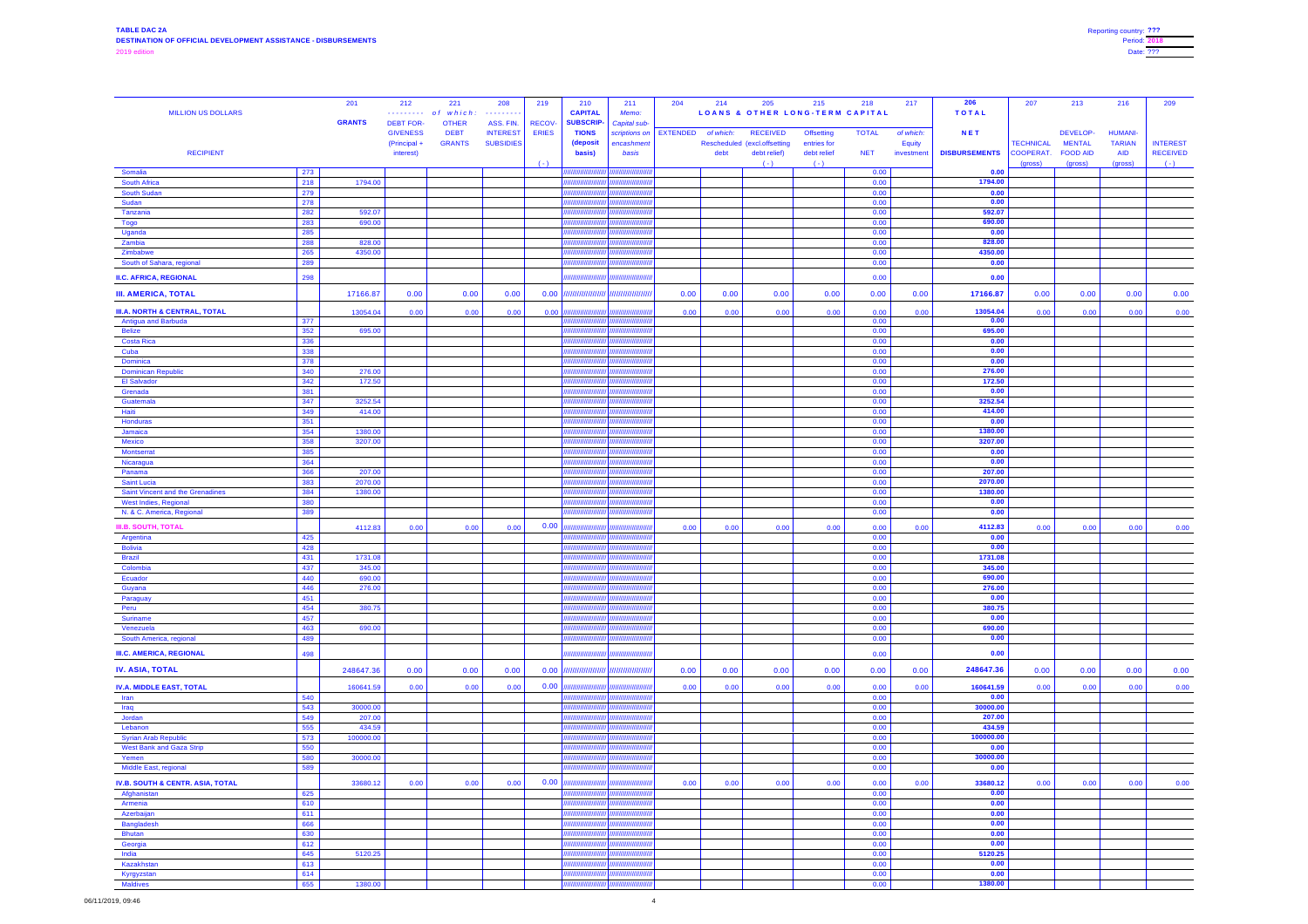| <b>MILLION US DOLLARS</b>                                  |                      | 201<br><b>GRANTS</b> | 212<br>. <b>.</b> .<br><b>DEBT FOR-</b>      | 221<br>$which is the function of the function f$<br>o f<br><b>OTHER</b> | 208<br>. <b>.</b> .<br>ASS. FIN.    | 219<br><b>RECOV-</b> | 210<br><b>CAPITAL</b><br><b>SUBSCRIP-</b> | 211<br>Memo:<br>Capital sub-         | 204             | 214               | 205<br><b>LOANS &amp; OTHER LONG-TERM CAPITAL</b>               | 215                                             | 218                        | 217                                     | 206<br><b>TOTAL</b>                | 207                                 | 213                                          | 216                                           | 209                                |
|------------------------------------------------------------|----------------------|----------------------|----------------------------------------------|-------------------------------------------------------------------------|-------------------------------------|----------------------|-------------------------------------------|--------------------------------------|-----------------|-------------------|-----------------------------------------------------------------|-------------------------------------------------|----------------------------|-----------------------------------------|------------------------------------|-------------------------------------|----------------------------------------------|-----------------------------------------------|------------------------------------|
| <b>RECIPIENT</b>                                           |                      |                      | <b>GIVENESS</b><br>(Principal +<br>interest) | <b>DEBT</b><br><b>GRANTS</b>                                            | <b>INTEREST</b><br><b>SUBSIDIES</b> | <b>ERIES</b>         | <b>TIONS</b><br>(deposit<br><b>basis)</b> | scriptions on<br>encashment<br>basis | <b>EXTENDED</b> | of which:<br>debt | <b>RECEIVED</b><br>Rescheduled (excl.offsetting<br>debt relief) | <b>Offsetting</b><br>entries for<br>debt relief | <b>TOTAL</b><br><b>NET</b> | of which:<br><b>Equity</b><br>investmen | <b>NET</b><br><b>DISBURSEMENTS</b> | <b>TECHNICAL</b><br><b>COOPERAT</b> | DEVELOP-<br><b>MENTAL</b><br><b>FOOD AID</b> | <b>HUMANI-</b><br><b>TARIAN</b><br><b>AID</b> | <b>INTEREST</b><br><b>RECEIVED</b> |
| Somalia                                                    | 273                  |                      |                                              |                                                                         |                                     | $(-)$                | ////////////                              | ///////////////                      |                 |                   | $( - )$                                                         | $(-)$                                           | 0.00                       |                                         | 0.00                               | (gross)                             | (gross)                                      | (gross)                                       | $(-)$                              |
| <b>South Africa</b>                                        | 218                  | 1794.00              |                                              |                                                                         |                                     |                      | /////////////                             | ,,,,,,,,,,,,,,                       |                 |                   |                                                                 |                                                 | 0.00                       |                                         | 1794.00                            |                                     |                                              |                                               |                                    |
| <b>South Sudan</b>                                         | 279                  |                      |                                              |                                                                         |                                     |                      | ,,,,,,,,,,,                               | ,,,,,,,,,,,,,,,                      |                 |                   |                                                                 |                                                 | 0.00                       |                                         | 0.00                               |                                     |                                              |                                               |                                    |
| Sudan<br>Tanzania                                          | 278<br>282           | 592.07               |                                              |                                                                         |                                     |                      | ,,,,,,,,,,,,                              | ,,,,,,,,,,,,<br>/////////////        |                 |                   |                                                                 |                                                 | 0.00 <br>0.00              |                                         | 0.00<br>592.07                     |                                     |                                              |                                               |                                    |
| Togo                                                       | 283                  | 690.00               |                                              |                                                                         |                                     |                      | 777777777                                 | ,,,,,,,,,,,,,,,,,                    |                 |                   |                                                                 |                                                 | 0.00                       |                                         | 690.00                             |                                     |                                              |                                               |                                    |
| Uganda                                                     | 285                  |                      |                                              |                                                                         |                                     |                      | 7777777777                                | ,,,,,,,,,,,,,,,,,                    |                 |                   |                                                                 |                                                 | 0.00                       |                                         | 0.00                               |                                     |                                              |                                               |                                    |
| Zambia                                                     | 288                  | 828.00               |                                              |                                                                         |                                     |                      | ,,,,,,,,,,,,                              | ,,,,,,,,,,,,                         |                 |                   |                                                                 |                                                 | 0.00                       |                                         | 828.00<br>4350.00                  |                                     |                                              |                                               |                                    |
| Zimbabwe<br>South of Sahara, regional                      | 265<br>289           | 4350.00              |                                              |                                                                         |                                     |                      | 7777777777<br>777777777                   | ////////////                         |                 |                   |                                                                 |                                                 | 0.00<br>0.00               |                                         | 0.00                               |                                     |                                              |                                               |                                    |
| <b>II.C. AFRICA, REGIONAL</b>                              | 298                  |                      |                                              |                                                                         |                                     |                      | 77777777                                  | ,,,,,,,,,,,,,,                       |                 |                   |                                                                 |                                                 | 0.00                       |                                         | 0.00                               |                                     |                                              |                                               |                                    |
| <b>III. AMERICA, TOTAL</b>                                 |                      | 17166.87             | 0.00                                         | 0.00                                                                    | 0.00                                | 0.00                 |                                           |                                      | 0.00            | 0.00              | 0.00                                                            | 0.00                                            | 0.00                       | 0.00                                    | 17166.87                           | 0.00                                | 0.00                                         | 0.00                                          | 0.00                               |
| <b>III.A. NORTH &amp; CENTRAL, TOTAL</b>                   |                      | 13054.04             | 0.00                                         | 0.00                                                                    | 0.00                                | 0.00                 |                                           | ,,,,,,,,,,,,                         | 0.00            | 0.00              | 0.00                                                            | 0.00                                            | 0.00                       | 0.00                                    | 13054.04                           | 0.00                                | 0.00                                         | 0.00                                          | 0.00                               |
| <b>Antigua and Barbuda</b><br><b>Belize</b>                | 377                  | 695.00               |                                              |                                                                         |                                     |                      |                                           | ,,,,,,,,,,,,,,,,<br>,,,,,,,,,,,,,,,  |                 |                   |                                                                 |                                                 | 0.00<br>0.00               |                                         | 0.00<br>695.00                     |                                     |                                              |                                               |                                    |
| <b>Costa Rica</b>                                          | 352<br>336           |                      |                                              |                                                                         |                                     |                      |                                           | ///////////////                      |                 |                   |                                                                 |                                                 | 0.00                       |                                         | 0.00                               |                                     |                                              |                                               |                                    |
| Cuba                                                       | 338                  |                      |                                              |                                                                         |                                     |                      |                                           |                                      |                 |                   |                                                                 |                                                 | 0.00                       |                                         | 0.00                               |                                     |                                              |                                               |                                    |
| <b>Dominica</b>                                            | 378                  |                      |                                              |                                                                         |                                     |                      | 77777777777                               | ,,,,,,,,,,,,                         |                 |                   |                                                                 |                                                 | 0.00                       |                                         | 0.00                               |                                     |                                              |                                               |                                    |
| <b>Dominican Republic</b><br><b>El Salvador</b>            | 340<br>342           | 276.00<br>172.50     |                                              |                                                                         |                                     |                      | 7777777777                                |                                      |                 |                   |                                                                 |                                                 | 0.00<br>0.00               |                                         | 276.00<br>172.50                   |                                     |                                              |                                               |                                    |
| Grenada                                                    | 381                  |                      |                                              |                                                                         |                                     |                      |                                           | ,,,,,,,,,,,,,                        |                 |                   |                                                                 |                                                 | 0.00                       |                                         | 0.00                               |                                     |                                              |                                               |                                    |
| Guatemala                                                  | 347                  | 3252.54              |                                              |                                                                         |                                     |                      |                                           | 11111111111'                         |                 |                   |                                                                 |                                                 | 0.00                       |                                         | 3252.54                            |                                     |                                              |                                               |                                    |
| Haiti<br>Honduras                                          | 349<br>351           | 414.00               |                                              |                                                                         |                                     |                      | 7777777777                                | ասարութ                              |                 |                   |                                                                 |                                                 | 0.00<br>0.00               |                                         | 414.00<br>0.00                     |                                     |                                              |                                               |                                    |
| Jamaica                                                    | 354                  | 1380.00              |                                              |                                                                         |                                     |                      | ,,,,,,,,,,                                | ,,,,,,,,,,,                          |                 |                   |                                                                 |                                                 | 0.00                       |                                         | 1380.00                            |                                     |                                              |                                               |                                    |
| <b>Mexico</b>                                              | 358                  | 3207.00              |                                              |                                                                         |                                     |                      |                                           | ,,,,,,,,,,,,,                        |                 |                   |                                                                 |                                                 | 0.00                       |                                         | 3207.00                            |                                     |                                              |                                               |                                    |
| <b>Montserrat</b>                                          | 385                  |                      |                                              |                                                                         |                                     |                      |                                           | <i><b>HHHHHH</b></i>                 |                 |                   |                                                                 |                                                 | 0.00                       |                                         | 0.00                               |                                     |                                              |                                               |                                    |
| Nicaragua<br>Panama                                        | 364<br>366           | 207.00               |                                              |                                                                         |                                     |                      | 777777777                                 | ,,,,,,,,,,,,,,,,<br>amminge          |                 |                   |                                                                 |                                                 | 0.00<br>0.00               |                                         | 0.00<br>207.00                     |                                     |                                              |                                               |                                    |
| <b>Saint Lucia</b>                                         | 383                  | 2070.00              |                                              |                                                                         |                                     |                      | 7777777777                                | . <i></i>                            |                 |                   |                                                                 |                                                 | 0.00                       |                                         | 2070.00                            |                                     |                                              |                                               |                                    |
| <b>Saint Vincent and the Grenadines</b>                    | 384                  | 1380.00              |                                              |                                                                         |                                     |                      | ,,,,,,,,,,,                               |                                      |                 |                   |                                                                 |                                                 | 0.00                       |                                         | 1380.00                            |                                     |                                              |                                               |                                    |
| <b>West Indies, Regional</b><br>N. & C. America, Regional  | 380<br>389           |                      |                                              |                                                                         |                                     |                      |                                           | ,,,,,,,,,,<br>//////////////         |                 |                   |                                                                 |                                                 | 0.00<br>0.00               |                                         | 0.00<br>0.00                       |                                     |                                              |                                               |                                    |
| <b>III.B. SOUTH, TOTAL</b>                                 | 425                  | 4112.83              | 0.00                                         | 0.00                                                                    | 0.00                                | 0.00                 | //////////                                | ///////////////<br>////////////////  | 0.00            | 0.00              | 0.00                                                            | 0.00                                            | 0.00<br>0.00               | 0.00                                    | 4112.83<br>0.00                    | 0.00                                | 0.00                                         | 0.00                                          | 0.00                               |
| Argentina<br><b>Bolivia</b>                                | 428                  |                      |                                              |                                                                         |                                     |                      | 777777777                                 | amiililiin                           |                 |                   |                                                                 |                                                 | 0.00                       |                                         | 0.00                               |                                     |                                              |                                               |                                    |
| <b>Brazil</b>                                              | 431                  | 1731.08              |                                              |                                                                         |                                     |                      | ,,,,,,,,,,,                               | ,,,,,,,,,,,                          |                 |                   |                                                                 |                                                 | 0.00                       |                                         | 1731.08                            |                                     |                                              |                                               |                                    |
| Colombia                                                   | 437                  | 345.00               |                                              |                                                                         |                                     |                      | 77777777                                  | ,,,,,,,,,<br>,,,,,,,,,,,             |                 |                   |                                                                 |                                                 | 0.00                       |                                         | 345.00                             |                                     |                                              |                                               |                                    |
| Ecuador<br>Guyana                                          | 440<br>446           | 690.00<br>276.00     |                                              |                                                                         |                                     |                      |                                           | ,,,,,,,,,,,                          |                 |                   |                                                                 |                                                 | 0.00<br>0.00               |                                         | 690.00<br>276.00                   |                                     |                                              |                                               |                                    |
| Paraguay                                                   | 451                  |                      |                                              |                                                                         |                                     |                      |                                           | анниција                             |                 |                   |                                                                 |                                                 | 0.00                       |                                         | 0.00                               |                                     |                                              |                                               |                                    |
| Peru                                                       | 454                  | 380.75               |                                              |                                                                         |                                     |                      |                                           |                                      |                 |                   |                                                                 |                                                 | 0.00                       |                                         | 380.75                             |                                     |                                              |                                               |                                    |
| <b>Suriname</b><br>Venezuela                               | 457<br>463           | 690.00               |                                              |                                                                         |                                     |                      |                                           |                                      |                 |                   |                                                                 |                                                 | 0.00<br>0.00               |                                         | 0.00<br>690.00                     |                                     |                                              |                                               |                                    |
| South America, regional                                    | 489                  |                      |                                              |                                                                         |                                     |                      |                                           | ,,,,,,,,,,,,                         |                 |                   |                                                                 |                                                 | 0.00                       |                                         | 0.00                               |                                     |                                              |                                               |                                    |
| <b>III.C. AMERICA, REGIONAL</b>                            | 498                  |                      |                                              |                                                                         |                                     |                      | ,,,,,,,,,,,,                              | ,,,,,,,,,,,,,                        |                 |                   |                                                                 |                                                 | 0.00                       |                                         | 0.00                               |                                     |                                              |                                               |                                    |
| <b>IV. ASIA, TOTAL</b>                                     |                      | 248647.36            | 0.00                                         | 0.00                                                                    | 0.00                                | 0.00                 |                                           |                                      | 0.00            | 0.00              | 0.00                                                            | 0.00                                            | 0.00                       | 0.00                                    | 248647.36                          | 0.00                                | 0.00                                         | 0.00                                          | 0.00                               |
| <b>IV.A. MIDDLE EAST, TOTAL</b><br>Iran                    | 540                  | 160641.59            | 0.00                                         | 0.00                                                                    | 0.00                                | 0.00                 |                                           | ,,,,,,,,,,,,                         | 0.00            | 0.00              | 0.00                                                            | 0.00                                            | 0.00<br>0.00               | 0.00                                    | 160641.59<br>0.00                  | 0.00                                | 0.00                                         | 0.00                                          | 0.00                               |
| Iraq                                                       | 543                  | 30000.00             |                                              |                                                                         |                                     |                      |                                           | 1111111111'                          |                 |                   |                                                                 |                                                 | 0.00                       |                                         | 30000.00                           |                                     |                                              |                                               |                                    |
| Jordan<br>Lebanon                                          | 549<br>555           | 207.00<br>434.59     |                                              |                                                                         |                                     |                      |                                           | ,,,,,,,,,,,,,,                       |                 |                   |                                                                 |                                                 | 0.00<br>0.00               |                                         | 207.00<br>434.59                   |                                     |                                              |                                               |                                    |
| <b>Syrian Arab Republic</b>                                | 573                  | 100000.00            |                                              |                                                                         |                                     |                      |                                           | <i><b>HIIIIIIIIIIII</b></i>          |                 |                   |                                                                 |                                                 | 0.00                       |                                         | 100000.00                          |                                     |                                              |                                               |                                    |
| <b>West Bank and Gaza Strip</b>                            | 550                  |                      |                                              |                                                                         |                                     |                      | ,,,,,,,,,,,                               | ammmm                                |                 |                   |                                                                 |                                                 | 0.00                       |                                         | 0.00                               |                                     |                                              |                                               |                                    |
| Yemen<br><b>Middle East, regional</b>                      | 580<br>589           | 30000.00             |                                              |                                                                         |                                     |                      | ,,,,,,,,,,,<br>77777777                   | ,,,,,,,,,,,,,,                       |                 |                   |                                                                 |                                                 | 0.00<br> 0.00              |                                         | 30000.00<br>0.00                   |                                     |                                              |                                               |                                    |
|                                                            |                      |                      |                                              |                                                                         |                                     |                      |                                           |                                      |                 |                   |                                                                 |                                                 |                            |                                         |                                    |                                     |                                              |                                               |                                    |
| <b>IV.B. SOUTH &amp; CENTR. ASIA, TOTAL</b><br>Afghanistan | 625                  | 33680.12             | 0.00                                         | 0.00                                                                    | 0.00                                | 0.00                 |                                           | ,,,,,,,,,,,,,,                       | 0.00            | 0.00              | 0.00                                                            | 0.00                                            | 0.00<br>0.00               | 0.00                                    | 33680.12<br>0.00                   | 0.00                                | 0.00                                         | 0.00                                          | 0.00                               |
| Armenia                                                    | 610                  |                      |                                              |                                                                         |                                     |                      |                                           | //////////////                       |                 |                   |                                                                 |                                                 | 0.00                       |                                         | 0.00                               |                                     |                                              |                                               |                                    |
| Azerbaijan                                                 | 611                  |                      |                                              |                                                                         |                                     |                      |                                           | ,,,,,,,,,,,,,,,                      |                 |                   |                                                                 |                                                 | 0.00                       |                                         | 0.00                               |                                     |                                              |                                               |                                    |
| <b>Bangladesh</b><br><b>Bhutan</b>                         | 666<br>630           |                      |                                              |                                                                         |                                     |                      | 777777777                                 | //////////////                       |                 |                   |                                                                 |                                                 | 0.00<br>0.00               |                                         | 0.00<br>0.00                       |                                     |                                              |                                               |                                    |
| Georgia                                                    | 612                  |                      |                                              |                                                                         |                                     |                      | ,,,,,,,,,,,,                              | /////////////                        |                 |                   |                                                                 |                                                 | 0.00                       |                                         | 0.00                               |                                     |                                              |                                               |                                    |
| India                                                      | 645                  | 5120.25              |                                              |                                                                         |                                     |                      |                                           | ,,,,,,,,,,,                          |                 |                   |                                                                 |                                                 | 0.00                       |                                         | 5120.25                            |                                     |                                              |                                               |                                    |
| Kazakhstan                                                 | 613<br>$\sim$ $\sim$ |                      |                                              |                                                                         |                                     |                      |                                           | ,,,,,,,,,,,,,                        |                 |                   |                                                                 |                                                 | 0.00                       |                                         | 0.00<br>0.00                       |                                     |                                              |                                               |                                    |
| Kyrgyzstan<br><b>Maldives</b>                              | 614<br>655           | 1380.00              |                                              |                                                                         |                                     |                      |                                           | ammining                             |                 |                   |                                                                 |                                                 | 0.00<br>0.00               |                                         | 1380.00                            |                                     |                                              |                                               |                                    |
|                                                            |                      |                      |                                              |                                                                         |                                     |                      |                                           |                                      |                 |                   |                                                                 |                                                 |                            |                                         |                                    |                                     |                                              |                                               |                                    |

| Reporting country: ??? |  |
|------------------------|--|
| <b>Period: 2018</b>    |  |
| Date: ???              |  |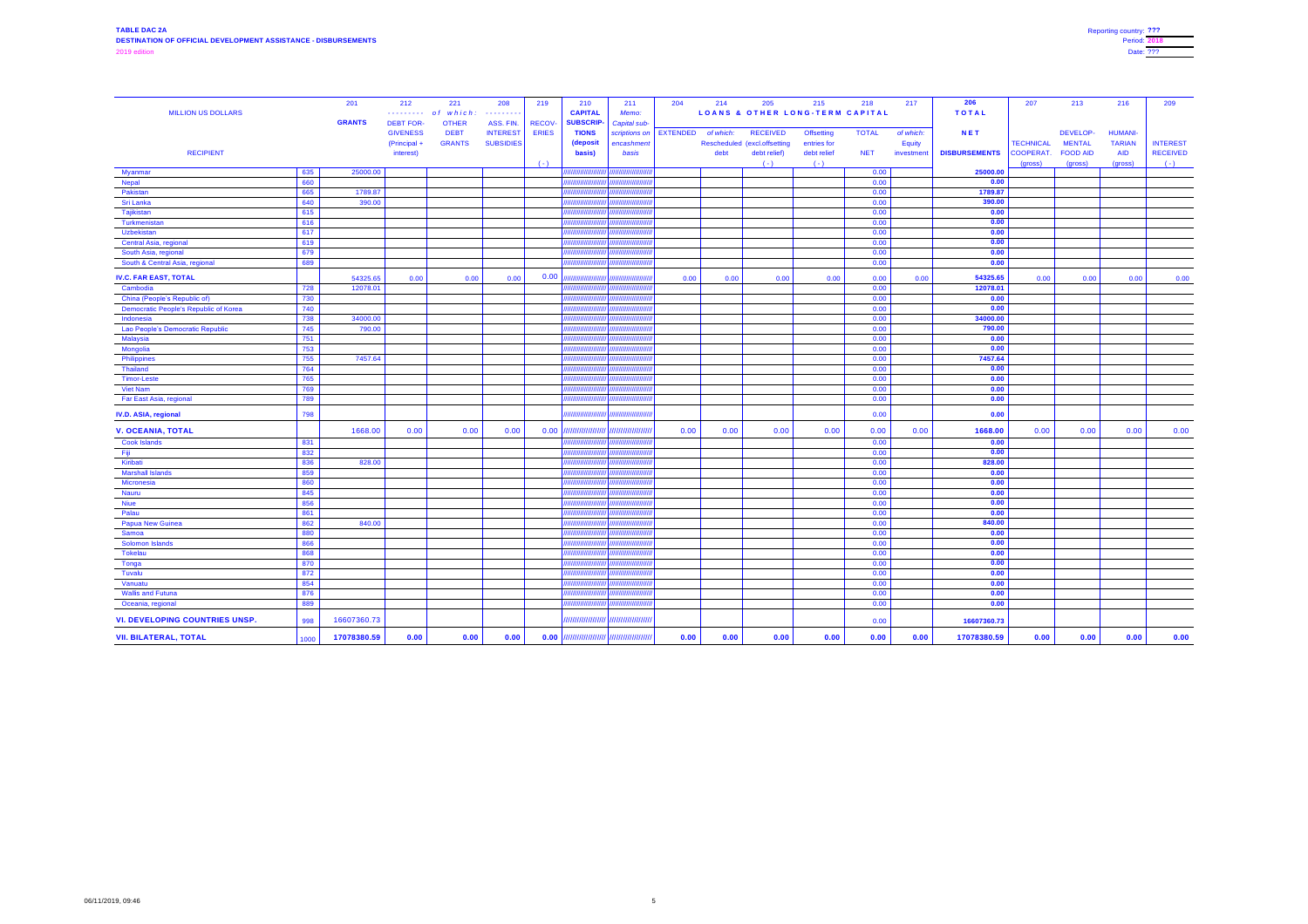| <b>MILLION US DOLLARS</b>                    |            | 201               | 212<br>. <b>.</b> . | 221<br>which<br>o f | 208<br>.         | 219           | 210<br><b>CAPITAL</b>                | 211<br>Memo:  | 204             | 214       | 205                          | 215<br><b>LOANS &amp; OTHER LONG-TERM CAPITAL</b> | 218          | 217           | 206<br><b>TOTAL</b>  | 207              | 213             | 216            | 209             |
|----------------------------------------------|------------|-------------------|---------------------|---------------------|------------------|---------------|--------------------------------------|---------------|-----------------|-----------|------------------------------|---------------------------------------------------|--------------|---------------|----------------------|------------------|-----------------|----------------|-----------------|
|                                              |            | <b>GRANTS</b>     | <b>DEBT FOR-</b>    | <b>OTHER</b>        | ASS. FIN.        | <b>RECOV-</b> | <b>SUBSCRIP-</b>                     | Capital sub-  |                 |           |                              |                                                   |              |               |                      |                  |                 |                |                 |
|                                              |            |                   | <b>GIVENESS</b>     | <b>DEBT</b>         | <b>INTEREST</b>  | <b>ERIES</b>  | <b>TIONS</b>                         | scriptions on | <b>EXTENDED</b> | of which: | <b>RECEIVED</b>              | <b>Offsetting</b>                                 | <b>TOTAL</b> | of which:     | <b>NET</b>           |                  | DEVELOP-        | <b>HUMANI-</b> |                 |
|                                              |            |                   | (Principal +        | <b>GRANTS</b>       | <b>SUBSIDIES</b> |               | (deposit                             | encashment    |                 |           | Rescheduled (excl.offsetting | entries for                                       |              | <b>Equity</b> |                      | <b>TECHNICAL</b> | <b>MENTAL</b>   | <b>TARIAN</b>  | <b>INTEREST</b> |
| <b>RECIPIENT</b>                             |            |                   | interest)           |                     |                  |               | basis)                               | basis         |                 | debt      | debt relief)                 | debt relief                                       | <b>NET</b>   | investmen     | <b>DISBURSEMENTS</b> | <b>COOPERAT</b>  | <b>FOOD AID</b> | <b>AID</b>     | <b>RECEIVED</b> |
|                                              |            |                   |                     |                     |                  | $(-)$         |                                      | ,,,,,,,       |                 |           | $(-)$                        | $(-)$                                             |              |               |                      | (gross)          | (gross)         | (gross)        | $(-)$           |
| <b>Myanmar</b>                               | 635<br>660 | 25000.00          |                     |                     |                  |               | //////////////<br>,,,,,,,,,,,,,,,,,, |               |                 |           |                              |                                                   | 0.00<br>0.00 |               | 25000.00<br>0.00     |                  |                 |                |                 |
| <b>Nepal</b>                                 |            |                   |                     |                     |                  |               | ,,,,,,,,,,,,,,,,,,,                  |               |                 |           |                              |                                                   |              |               | 1789.87              |                  |                 |                |                 |
| Pakistan                                     | 665<br>640 | 1789.87<br>390.00 |                     |                     |                  |               | //////////////////                   |               |                 |           |                              |                                                   | 0.00<br>0.00 |               | 390.00               |                  |                 |                |                 |
| Sri Lanka<br>Tajikistan                      | 615        |                   |                     |                     |                  |               | /////////////                        | ,,,,,,,,,,    |                 |           |                              |                                                   | 0.00         |               | 0.00                 |                  |                 |                |                 |
| Turkmenistan                                 | 616        |                   |                     |                     |                  |               | 7777777777777                        | 1111111111    |                 |           |                              |                                                   | 0.00         |               | 0.00                 |                  |                 |                |                 |
| Uzbekistan                                   | 617        |                   |                     |                     |                  |               | 77777777777777                       | ,,,,,,,,,,,   |                 |           |                              |                                                   | 0.00         |               | 0.00                 |                  |                 |                |                 |
| <b>Central Asia, regional</b>                | 619        |                   |                     |                     |                  |               |                                      |               |                 |           |                              |                                                   | 0.00         |               | 0.00                 |                  |                 |                |                 |
|                                              | 679        |                   |                     |                     |                  |               |                                      | ,,,,,,,       |                 |           |                              |                                                   | 0.00         |               | 0.00                 |                  |                 |                |                 |
| South Asia, regional                         | 689        |                   |                     |                     |                  |               | /////////////////////                | ,,,,,,,,,,    |                 |           |                              |                                                   | 0.00         |               | 0.00                 |                  |                 |                |                 |
| South & Central Asia, regional               |            |                   |                     |                     |                  |               |                                      |               |                 |           |                              |                                                   |              |               |                      |                  |                 |                |                 |
| <b>IV.C. FAR EAST, TOTAL</b>                 |            | 54325.65          | 0.00                | 0.00                | 0.00             | 0.00          | ,,,,,,,,,,,,,,,                      |               | 0.00            | 0.00      | 0.00                         | 0.00                                              | 0.00         | 0.00          | 54325.65             | 0.00             | 0.00            | 0.00           | 0.00            |
| Cambodia                                     | 728        | 12078.01          |                     |                     |                  |               | ////////////////                     |               |                 |           |                              |                                                   | 0.00         |               | 12078.01             |                  |                 |                |                 |
| China (People's Republic of)                 | 730        |                   |                     |                     |                  |               | ,,,,,,,,,,,,                         |               |                 |           |                              |                                                   | 0.00         |               | 0.00                 |                  |                 |                |                 |
| <b>Democratic People's Republic of Korea</b> | 740        |                   |                     |                     |                  |               | ,,,,,,,,,,,,                         | ,,,,,,,,,,,   |                 |           |                              |                                                   | 0.00         |               | 0.00                 |                  |                 |                |                 |
| Indonesia                                    | 738        | 34000.00          |                     |                     |                  |               | ,,,,,,,,,,,,,,,,                     | ,,,,,,,,,     |                 |           |                              |                                                   | 0.00         |               | 34000.00             |                  |                 |                |                 |
| Lao People's Democratic Republic             | 745        | 790.00            |                     |                     |                  |               | //////////////////                   | /////////     |                 |           |                              |                                                   | 0.00         |               | 790.00               |                  |                 |                |                 |
| <b>Malaysia</b>                              | 751        |                   |                     |                     |                  |               | //////////////////                   | ,,,,,,,,,     |                 |           |                              |                                                   | 0.00         |               | 0.00                 |                  |                 |                |                 |
| Mongolia                                     | 753        |                   |                     |                     |                  |               |                                      |               |                 |           |                              |                                                   | 0.00         |               | 0.00                 |                  |                 |                |                 |
| Philippines                                  | 755        | 7457.64           |                     |                     |                  |               |                                      |               |                 |           |                              |                                                   | 0.00         |               | 7457.64              |                  |                 |                |                 |
| <b>Thailand</b>                              | 764        |                   |                     |                     |                  |               | //////////////                       |               |                 |           |                              |                                                   | 0.00         |               | 0.00                 |                  |                 |                |                 |
| Timor-Leste                                  | 765        |                   |                     |                     |                  |               | ,,,,,,,,,,,,,,,,                     | ,,,,,,,,,,,,  |                 |           |                              |                                                   | 0.00         |               | 0.00                 |                  |                 |                |                 |
| <b>Viet Nam</b>                              | 769        |                   |                     |                     |                  |               |                                      | ,,,,,,,,      |                 |           |                              |                                                   | 0.00         |               | 0.00                 |                  |                 |                |                 |
| <b>Far East Asia, regional</b>               | 789        |                   |                     |                     |                  |               |                                      |               |                 |           |                              |                                                   | 0.00         |               | 0.00                 |                  |                 |                |                 |
| IV.D. ASIA, regional                         | 798        |                   |                     |                     |                  |               | ,,,,,,,,,,,,,,,,,,,,,,               | ,,,,,,,,,     |                 |           |                              |                                                   | 0.00         |               | 0.00                 |                  |                 |                |                 |
| <b>V. OCEANIA, TOTAL</b>                     |            | 1668.00           | 0.00                | 0.00                | 0.00             | $0.00$ //     |                                      |               | 0.00            | 0.00      | 0.00                         | 0.00                                              | 0.00         | 0.00          | 1668.00              | 0.00             | 0.00            | 0.00           | 0.00            |
| <b>Cook Islands</b>                          | 831        |                   |                     |                     |                  |               | //////////////////                   | ,,,,,,,,,     |                 |           |                              |                                                   | 0.00         |               | 0.00                 |                  |                 |                |                 |
| Fig.                                         | 832        |                   |                     |                     |                  |               | ,,,,,,,,,,,,,,,,,,,                  |               |                 |           |                              |                                                   | 0.00         |               | 0.00                 |                  |                 |                |                 |
| Kiribati                                     | 836        | 828.00            |                     |                     |                  |               |                                      | ,,,,,,,,      |                 |           |                              |                                                   | 0.00         |               | 828.00               |                  |                 |                |                 |
| <b>Marshall Islands</b>                      | 859        |                   |                     |                     |                  |               | /////////////////                    |               |                 |           |                              |                                                   | 0.00         |               | 0.00                 |                  |                 |                |                 |
| Micronesia                                   | 860        |                   |                     |                     |                  |               | ,,,,,,,,,,,,,,,,,                    | ,,,,,,,,,,    |                 |           |                              |                                                   | 0.00         |               | 0.00                 |                  |                 |                |                 |
| <b>Nauru</b>                                 | 845        |                   |                     |                     |                  |               | ,,,,,,,,,,,,,,,,,                    | ,,,,,,,,,,    |                 |           |                              |                                                   | 0.00         |               | 0.00                 |                  |                 |                |                 |
| <b>Niue</b>                                  | 856        |                   |                     |                     |                  |               | ,,,,,,,,,,,,,,,,,,                   | ,,,,,,,,      |                 |           |                              |                                                   | 0.00         |               | 0.00                 |                  |                 |                |                 |
| Palau                                        | 861        |                   |                     |                     |                  |               |                                      |               |                 |           |                              |                                                   | 0.00         |               | 0.00                 |                  |                 |                |                 |
| <b>Papua New Guinea</b>                      | 862        | 840.00            |                     |                     |                  |               | /////////////////                    |               |                 |           |                              |                                                   | 0.00         |               | 840.00               |                  |                 |                |                 |
| Samoa                                        | 880        |                   |                     |                     |                  |               |                                      | ,,,,,,,,,     |                 |           |                              |                                                   | 0.00         |               | 0.00                 |                  |                 |                |                 |
| <b>Solomon Islands</b>                       | 866        |                   |                     |                     |                  |               | /////////////                        |               |                 |           |                              |                                                   | 0.00         |               | 0.00                 |                  |                 |                |                 |
| <b>Tokelau</b>                               | 868        |                   |                     |                     |                  |               | //////////////                       |               |                 |           |                              |                                                   | 0.00         |               | 0.00                 |                  |                 |                |                 |
| <b>Tonga</b>                                 | 870        |                   |                     |                     |                  |               | ,,,,,,,,,,,,,,,,                     |               |                 |           |                              |                                                   | 0.00         |               | 0.00                 |                  |                 |                |                 |
| Tuvalu                                       | 872        |                   |                     |                     |                  |               | //////////////////                   | ,,,,,,,,,     |                 |           |                              |                                                   | 0.00         |               | 0.00                 |                  |                 |                |                 |
| Vanuatu                                      | 854        |                   |                     |                     |                  |               | /////////////////                    |               |                 |           |                              |                                                   | 0.00         |               | 0.00                 |                  |                 |                |                 |
| <b>Wallis and Futuna</b>                     | 876        |                   |                     |                     |                  |               | ,,,,,,,,,,,,,,,,,,,                  | ,,,,,,,,,     |                 |           |                              |                                                   | 0.00         |               | 0.00                 |                  |                 |                |                 |
| Oceania, regional                            | 889        |                   |                     |                     |                  |               | ,,,,,,,,,,,,,,,,,                    |               |                 |           |                              |                                                   | 0.00         |               | 0.00                 |                  |                 |                |                 |
| <b>VI. DEVELOPING COUNTRIES UNSP.</b>        | 998        | 16607360.73       |                     |                     |                  |               |                                      |               |                 |           |                              |                                                   | 0.00         |               | 16607360.73          |                  |                 |                |                 |
| <b>VII. BILATERAL, TOTAL</b>                 | 1000       | 17078380.59       | 0.00                | 0.00                | 0.00             | 0.00          |                                      |               | 0.00            | 0.00      | 0.00                         | 0.00                                              | 0.00         | 0.00          | 17078380.59          | 0.00             | 0.00            | 0.00           | 0.00            |
|                                              |            |                   |                     |                     |                  |               |                                      |               |                 |           |                              |                                                   |              |               |                      |                  |                 |                |                 |

| Reporting country: ??? |  |
|------------------------|--|
| <b>Period: 2018</b>    |  |
| Date: ???              |  |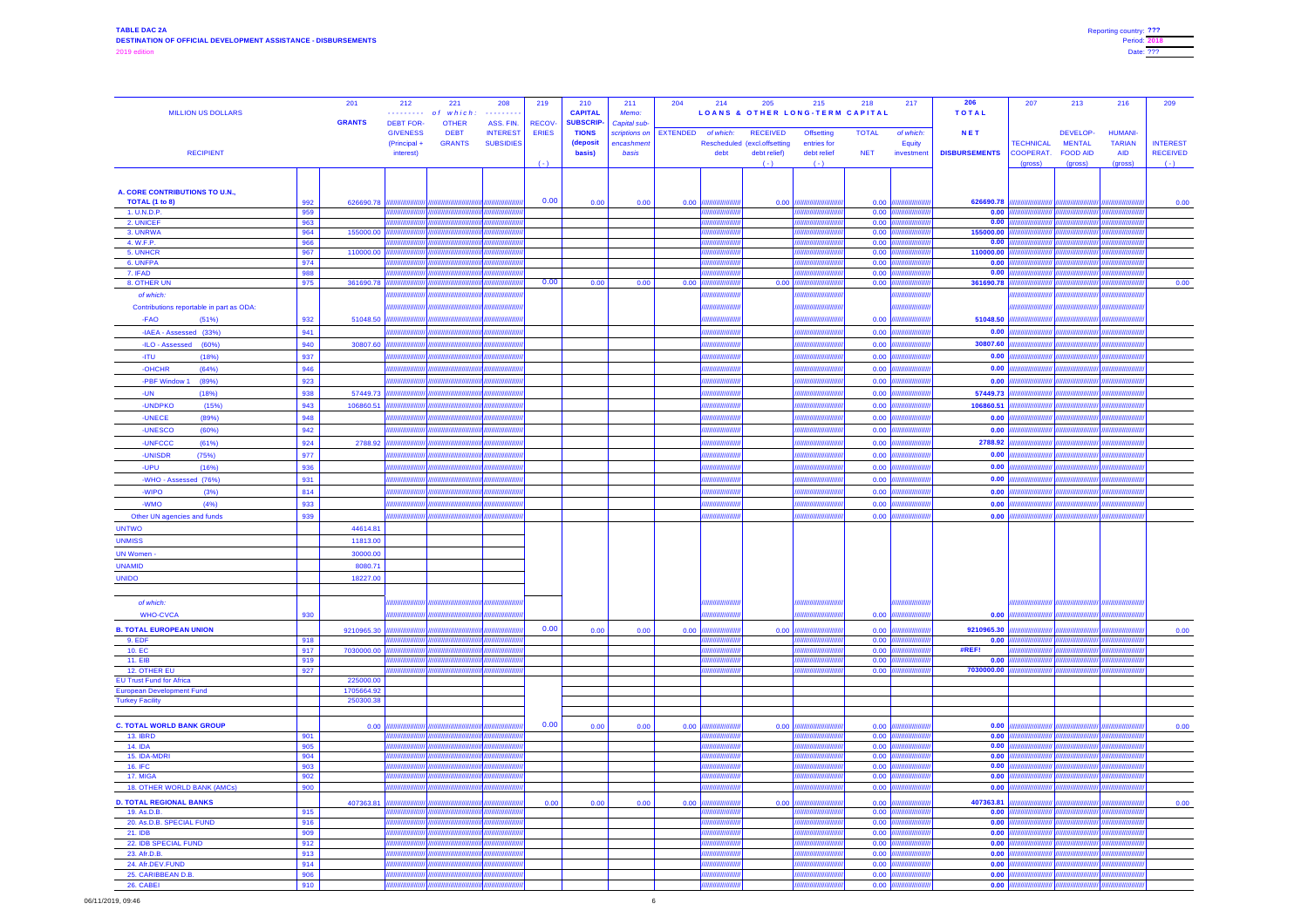## **TABLE DAC 2A DESTINATION OF OFFICIAL DEVELOPMENT ASSISTANCE - DISBURSEMENTS** 2019 edition

| <b>MILLION US DOLLARS</b>                                           |                             | 201<br>212<br>221<br>208<br>of which.<br>.<br>. <i>.</i><br><b>GRANTS</b><br><b>DEBT FOR-</b><br>ASS. FIN.<br><b>OTHER</b><br><b>GIVENESS</b><br><b>DEBT</b><br><b>INTEREST</b> | 219<br>RECOV-<br><b>ERIES</b> | 210<br><b>CAPITAL</b><br><b>SUBSCRIP-</b><br><b>TIONS</b> | 211<br>Memo:<br><b>Capital sub-</b> | 204<br>214<br>scriptions on   EXTENDED<br>of which: | 205<br><b>LOANS &amp; OTHER LONG-TERM CAPITAL</b><br><b>RECEIVED</b> | 215<br><b>Offsetting</b>                         | 218<br>217<br><b>TOTAL</b><br>of which: | 206<br><b>TOTAL</b><br><b>NET</b> | 207                                             | 213<br>DEVELOP-                             | 216<br><b>HUMANI-</b>                          | 209                                         |
|---------------------------------------------------------------------|-----------------------------|---------------------------------------------------------------------------------------------------------------------------------------------------------------------------------|-------------------------------|-----------------------------------------------------------|-------------------------------------|-----------------------------------------------------|----------------------------------------------------------------------|--------------------------------------------------|-----------------------------------------|-----------------------------------|-------------------------------------------------|---------------------------------------------|------------------------------------------------|---------------------------------------------|
| <b>RECIPIENT</b>                                                    |                             | <b>GRANTS</b><br><b>SUBSIDIES</b><br>(Principal +<br>interest)                                                                                                                  | $(-)$                         | (deposit<br>basis)                                        | encashment<br>basis                 | debt                                                | Rescheduled (excl.offsetting<br>debt relief)<br>$(-)$                | entries for<br>debt relief<br>$(-)$              | Equity<br><b>NET</b><br>investment      | <b>DISBURSEMENTS</b>              | <b>TECHNICAL</b><br><b>COOPERAT.</b><br>(gross) | <b>MENTAL</b><br><b>FOOD AID</b><br>(gross) | <b>TARIAN</b><br><b>AID</b><br>(gross)         | <b>INTEREST</b><br><b>RECEIVED</b><br>$(-)$ |
|                                                                     |                             |                                                                                                                                                                                 |                               |                                                           |                                     |                                                     |                                                                      |                                                  |                                         |                                   |                                                 |                                             |                                                |                                             |
| A. CORE CONTRIBUTIONS TO U.N.,                                      |                             | ,,,,,,,,,,,,,,,,,,                                                                                                                                                              | 0.00                          |                                                           |                                     |                                                     |                                                                      |                                                  |                                         |                                   |                                                 |                                             | ,,,,,,,,,,,,,,,,,,,,,,                         |                                             |
| <b>TOTAL (1 to 8)</b><br>1. U.N.D.P.                                | 992<br>959                  | 626690.78<br>,,,,,,,,,,,,,,                                                                                                                                                     |                               | 0.00                                                      | 0.00                                | 0.00                                                | 0.00                                                                 | ,,,,,,,,,,,,,,,,,,,<br>//////////////////        | 0.00<br>0.00                            | 626690.78<br>0.00                 | 777777777777                                    |                                             | <b>THIIIIIIIIIIIIII</b>                        | 0.00                                        |
| 2. UNICEF                                                           | 963                         | <i><b>HIIIIIIIIIIIIII</b>I</i>                                                                                                                                                  |                               |                                                           |                                     | '////////                                           |                                                                      | //////////////////////                           | 0.00                                    | 0.00                              | ШШШШ                                            |                                             | <i><b>ANIMININININI</b></i>                    |                                             |
| 3. UNRWA<br>4. W.F.P.                                               | 964<br>966                  | 155000.00                                                                                                                                                                       |                               |                                                           |                                     | ////////////<br>7777777777                          |                                                                      | ,,,,,,,,,,,,,,,,,,,,,,,<br>///////////////////// | 0.00<br>0.00                            | 155000.00<br>0.00                 | ,,,,,,,,,,,,                                    |                                             | A <i>mmunimijijy</i><br>. <i>n\mmmmmmmr</i>    |                                             |
| 5. UNHCR                                                            | 967                         | 110000.00<br>//////////////                                                                                                                                                     |                               |                                                           |                                     |                                                     |                                                                      | ////////////////////                             | 0.00                                    | 110000.00                         |                                                 |                                             | ակ <i>առայայի</i>                              |                                             |
| 6. UNFPA                                                            | 974                         |                                                                                                                                                                                 |                               |                                                           |                                     |                                                     |                                                                      | <i>ammmmm</i>                                    | 0.00                                    | 0.00                              |                                                 |                                             | <u>al muunnupp</u>                             |                                             |
| 7. IFAD<br>8. OTHER UN                                              | 988<br>975                  | ,,,,,,,,,,,,,<br>,,,,,,,,<br>361690.78<br>//////////////                                                                                                                        | 0.00                          | 0.00                                                      | 0.00                                | 0.00                                                | 0.00                                                                 | ////////////////<br>,,,,,,,,,,,,,,               | 0.00<br> 0.00                           | 0.00<br>361690.78                 |                                                 |                                             | д шиншшш<br>с <i>иннишищи</i>                  | 0.00                                        |
| of which:                                                           |                             | ,,,,,,,,,,,,,,,                                                                                                                                                                 |                               |                                                           |                                     | ,,,,,,,,,,,,                                        |                                                                      |                                                  |                                         |                                   |                                                 |                                             | ,,,,,,,,,,,,,,,,,,                             |                                             |
| Contributions reportable in part as ODA:                            |                             | ,,,,,,,,,,,,<br>/////////////////                                                                                                                                               |                               |                                                           |                                     | ///////////////                                     |                                                                      | //////////////////////                           |                                         |                                   | //////////////////////                          |                                             | ,,,,,,,,,,,,,,,,,,,,,,,                        |                                             |
| -FAO<br>(51%)                                                       | 932                         | 51048.50<br>,,,,,,,,,,,,,,,,                                                                                                                                                    |                               |                                                           |                                     |                                                     |                                                                      | /////////////////////                            | 0.00                                    | 51048.50                          |                                                 |                                             |                                                |                                             |
| -IAEA - Assessed (33%)                                              | 941                         | ,,,,,,,,<br>,,,,,,,,,,,,,,,,,,,,,,,                                                                                                                                             |                               |                                                           |                                     | 77777777777                                         |                                                                      | ///////////////////////                          | 0.00                                    | 0.00                              | ,,,,,,,,,,,,,,,,,,                              |                                             |                                                |                                             |
| -ILO - Assessed (60%)                                               | 940                         | 30807.60                                                                                                                                                                        |                               |                                                           |                                     |                                                     |                                                                      | ,,,,,,,,,,,,,,,,,,,,,,,,,,                       | 0.00                                    | 30807.60                          | //////////////////                              |                                             | <u>ahuunnummur</u>                             |                                             |
| -ITU<br>(18%)                                                       | 937                         | ,,,,,,,,,,,,,,,,,,,<br>,,,,,,,,,,                                                                                                                                               |                               |                                                           |                                     | 7777777777                                          |                                                                      | /////////////////////                            | 0.00                                    | 0.00                              | ////////////////////                            |                                             | ( <i>HHHHHHHHH  )</i>                          |                                             |
| -OHCHR<br>(64%)                                                     | 946                         | /////////////////                                                                                                                                                               |                               |                                                           |                                     |                                                     |                                                                      | /////////////////////                            | 0.00                                    | 0.00                              | ,,,,,,,,,,,,,,,,,                               |                                             | <i><b>HHHHHHHHIII</b></i>                      |                                             |
| -PBF Window 1<br>(89%)                                              | 923                         | ///////////////<br>,,,,,,,,,,,,,,,<br>,,,,,,,,,,                                                                                                                                |                               |                                                           |                                     |                                                     |                                                                      | ///////////////////<br>/////////////////////     | 0.00                                    | 0.00<br>57449.73                  | ////////////////                                |                                             | /////////////////<br>. <i>пинишини</i>         |                                             |
| (18%)<br>-UN<br>-UNDPKO<br>(15%)                                    | 938<br>943                  | 57449.73<br>106860.51<br><i><b>IIIIIIIIIIIIIIII</b>I</i>                                                                                                                        |                               |                                                           |                                     |                                                     |                                                                      | /////////////////////                            | 0.00<br>0.00                            | 106860.51                         | //////////////<br>,,,,,,,,,,,,,,                |                                             | A <i>mmmmmm</i>                                |                                             |
| -UNECE<br>(89%)                                                     | 948                         | ,,,,,,,,,,,<br>,,,,,,,,,,,,,,,,,,,,,                                                                                                                                            |                               |                                                           |                                     |                                                     |                                                                      | /////////////////////                            | 0.00                                    | 0.00                              | ,,,,,,,,,,,,,,,,,,,                             |                                             | A <i>mmmmmm</i>                                |                                             |
| -UNESCO<br>(60%)                                                    | 942                         | //////////////////                                                                                                                                                              |                               |                                                           |                                     | 7777777777                                          |                                                                      | //////////////////////                           | 0.00                                    | 0.00                              | <b>AHHHHHHIII</b> III                           |                                             |                                                |                                             |
| -UNFCCC<br>(61%)                                                    | 924                         | 2788.92<br>////////////////////                                                                                                                                                 |                               |                                                           |                                     | 7777777777                                          |                                                                      | //////////////////////                           | 0.00                                    | 2788.92                           | ,,,,,,,,,,,,,                                   |                                             |                                                |                                             |
| -UNISDR<br>(75%)                                                    | 977                         | ,,,,,,,,,,,,,,,                                                                                                                                                                 |                               |                                                           |                                     | 777777777                                           |                                                                      | //////////////////////                           | 0.00                                    | 0.00                              | ////////////////                                |                                             | ///////////////////                            |                                             |
| -UPU<br>(16%)                                                       | 936                         | /////////////////                                                                                                                                                               |                               |                                                           |                                     | ///////                                             |                                                                      | ////////////////////                             | 0.00                                    | 0.00                              | ,,,,,,,,,,,,,,,                                 |                                             | //////////////////                             |                                             |
| -WHO - Assessed (76%)                                               | 931                         | ,,,,,,,,,,,<br>////////////////                                                                                                                                                 |                               |                                                           |                                     |                                                     |                                                                      | <i><b>HHHHHHH   </b></i>                         | 0.00                                    | 0.00                              | //////////////                                  |                                             | <i>CHIMIHIHIHI!!</i>                           |                                             |
| (3%)<br>-WIPO                                                       | 814                         | ////////////////                                                                                                                                                                |                               |                                                           |                                     |                                                     |                                                                      | ,,,,,,,,,,,,,,,,,,                               | 0.00                                    | 0.00                              | ///////////////                                 |                                             |                                                |                                             |
| -WMO<br>(4%)                                                        | 933                         | ,,,,,,,,,,,,,,,                                                                                                                                                                 |                               |                                                           |                                     |                                                     |                                                                      |                                                  | 0.00                                    | 0.00                              |                                                 |                                             | л <i>инишшщиг</i>                              |                                             |
| Other UN agencies and funds                                         | 939                         | . <i>nnmmmmmmr</i>                                                                                                                                                              |                               |                                                           |                                     | ,,,,,,,,,,,                                         |                                                                      |                                                  | 0.00                                    | 0.00                              | //////////////                                  |                                             | <u>ahuunnuunnuv</u>                            |                                             |
| <b>UNTWO</b><br><b>UNMISS</b>                                       |                             | 44614.81<br>11813.00                                                                                                                                                            |                               |                                                           |                                     |                                                     |                                                                      |                                                  |                                         |                                   |                                                 |                                             |                                                |                                             |
| <b>UN Women -</b>                                                   |                             | 30000.00                                                                                                                                                                        |                               |                                                           |                                     |                                                     |                                                                      |                                                  |                                         |                                   |                                                 |                                             |                                                |                                             |
| <b>UNAMID</b>                                                       |                             | 8080.71                                                                                                                                                                         |                               |                                                           |                                     |                                                     |                                                                      |                                                  |                                         |                                   |                                                 |                                             |                                                |                                             |
| <b>UNIDO</b>                                                        |                             | 18227.00                                                                                                                                                                        |                               |                                                           |                                     |                                                     |                                                                      |                                                  |                                         |                                   |                                                 |                                             |                                                |                                             |
|                                                                     |                             |                                                                                                                                                                                 |                               |                                                           |                                     |                                                     |                                                                      |                                                  |                                         |                                   |                                                 |                                             |                                                |                                             |
| of which:                                                           |                             |                                                                                                                                                                                 |                               |                                                           |                                     |                                                     |                                                                      | ////////////////////////                         |                                         |                                   |                                                 |                                             |                                                |                                             |
| <b>WHO-CVCA</b>                                                     | 930                         |                                                                                                                                                                                 |                               |                                                           |                                     | ,,,,,,,,,,,                                         |                                                                      | /////////////////////                            | 0.00                                    | 0.00                              | ////////////////////                            | ,,,,,,,,,,,                                 |                                                |                                             |
| <b>B. TOTAL EUROPEAN UNION</b>                                      |                             | 9210965.30<br>,,,,,,,,,,,,,,,                                                                                                                                                   | 0.00                          | 0.00                                                      | 0.00                                | 0.00                                                | 0.00                                                                 | ,,,,,,,,,,,                                      | 0.00                                    | 9210965.30                        |                                                 |                                             | лишшши                                         | 0.00                                        |
| 9. EDF                                                              | 918                         | ,,,,,,,,,,,,,,                                                                                                                                                                  |                               |                                                           |                                     |                                                     |                                                                      | <i><b>HIIIIIIIIIIIII</b></i>                     | 0.00                                    | 0.00<br>#REF!                     |                                                 |                                             | с <i>пиницииг</i>                              |                                             |
| 10. EC<br><b>11. EIB</b>                                            | 917<br>919                  | 7030000.00<br>,,,,,,,,,,,,,,,,                                                                                                                                                  |                               |                                                           |                                     |                                                     |                                                                      | ,,,,,,,,,,,,,,,,,,                               | 0.00<br>0.00                            | 0.00                              |                                                 |                                             | <i>Ammmmmr</i>                                 |                                             |
| <b>12. OTHER EU</b>                                                 | 927                         | <b>AHHHHHHJJ</b>                                                                                                                                                                |                               |                                                           |                                     |                                                     |                                                                      | ////////////////////                             | 0.00                                    | 7030000.00                        | 777777777777                                    |                                             | ahmmmmm                                        |                                             |
| <b>EU Trust Fund for Africa</b><br><b>European Development Fund</b> |                             | 225000.00<br>1705664.92                                                                                                                                                         |                               |                                                           |                                     |                                                     |                                                                      |                                                  |                                         |                                   |                                                 |                                             |                                                |                                             |
| <b>Turkey Facility</b>                                              |                             | 250300.38                                                                                                                                                                       |                               |                                                           |                                     |                                                     |                                                                      |                                                  |                                         |                                   |                                                 |                                             |                                                |                                             |
|                                                                     |                             |                                                                                                                                                                                 |                               |                                                           |                                     |                                                     |                                                                      |                                                  |                                         |                                   |                                                 |                                             |                                                |                                             |
| <b>C. TOTAL WORLD BANK GROUP</b>                                    |                             | 0.00<br>,,,,,,,,,,,,,,                                                                                                                                                          | 0.00                          | 0.00                                                      | 0.00                                | 0.00                                                | 0.00                                                                 | ,,,,,,,,,,,,,                                    | 0.00                                    | 0.00                              | ,,,,,,,,,,,,,,                                  |                                             | /////////////////                              | 0.00                                        |
| <b>13. IBRD</b>                                                     | 901                         | ,,,,,,,,,,,,,,,<br>лиништр                                                                                                                                                      |                               |                                                           |                                     |                                                     |                                                                      | ///////////////////                              | 0.00                                    | 0.00<br>0.00                      |                                                 |                                             | <br>A <i>mmmmmm</i>                            |                                             |
| <b>14. IDA</b><br>15. IDA-MDRI                                      | 905<br>904                  | <i>,,,,,,,,,,,,,,</i> ,,,,,,,,                                                                                                                                                  |                               |                                                           |                                     | ////////<br>,,,,,,,,,,                              |                                                                      | <i>mmmmmmmm</i><br>/////////////////             | 0.00<br>0.00                            | 0.00                              | /////////////                                   |                                             | a <del>l mummmm</del> r                        |                                             |
| <b>16. IFC</b>                                                      | 903                         |                                                                                                                                                                                 |                               |                                                           |                                     |                                                     |                                                                      | annummy                                          | 0.00                                    | 0.00                              |                                                 |                                             |                                                |                                             |
| 17. MIGA                                                            | 902                         |                                                                                                                                                                                 |                               |                                                           |                                     |                                                     |                                                                      | ,,,,,,,,,,,,,                                    | 0.00                                    | 0.00                              |                                                 |                                             |                                                |                                             |
| <b>18. OTHER WORLD BANK (AMCs)</b>                                  | 900                         | ,,,,,,,,,,,<br>,,,,,,,,,                                                                                                                                                        |                               |                                                           |                                     | ,,,,,,,,,                                           |                                                                      | ,,,,,,,,,,,,,,                                   | 0.00                                    | 0.00                              |                                                 |                                             | <i><b>A munififfffffff</b>re</i>               |                                             |
| <b>D. TOTAL REGIONAL BANKS</b><br>19. As.D.B.                       | 915                         | 407363.81<br>,,,,,,,,,,,,,,,                                                                                                                                                    | 0.00                          | 0.00                                                      | 0.00                                | 0.00                                                | 0.00                                                                 | ////////////////<br>,,,,,,,,,,,,,,,,,,           | 0.00<br>0.00                            | 407363.81<br>0.00                 | 777777777777                                    |                                             | . <i>пинишир</i><br><i><b>MINIMINININI</b></i> | 0.00                                        |
| 20. As.D.B. SPECIAL FUND                                            | 916                         | ,,,,,,,,,,,,,,,                                                                                                                                                                 |                               |                                                           |                                     |                                                     |                                                                      | ///////////////////                              | 0.00                                    | 0.00                              |                                                 |                                             | <i><u><b>HIIIIIIIIIIIIIII</b></u>III</i>       |                                             |
| <b>21. IDB</b>                                                      | 909                         | 11111111<br>,,,,,,,,,,,,,,                                                                                                                                                      |                               |                                                           |                                     |                                                     |                                                                      | ///////////////////                              | 0.00                                    | 0.00                              |                                                 |                                             | ,,,,,,,,,,,,,,,,,,                             |                                             |
| 22. IDB SPECIAL FUND                                                | 912                         | 11111111<br>,,,,,,,,,,,,,,,,<br>,,,,,,,,,                                                                                                                                       |                               |                                                           |                                     |                                                     |                                                                      | ///////////////////<br>///////////////           | 0.00                                    | 0.00                              |                                                 |                                             | <u>Ammunum</u><br>. <i>mmmmmm</i>              |                                             |
| 23. Afr.D.B.<br>24. Afr.DEV.FUND                                    | 913<br>914                  |                                                                                                                                                                                 |                               |                                                           |                                     |                                                     |                                                                      |                                                  | 0.00<br>0.00                            | 0.00<br>0.00                      |                                                 |                                             |                                                |                                             |
| 25. CARIBBEAN D.B.                                                  | $\sim$ $\sim$ $\sim$<br>906 | ,,,,,,,,,,,,,                                                                                                                                                                   |                               |                                                           |                                     | 77777777                                            |                                                                      | /////////////////////                            | 0.00                                    | 0.00                              |                                                 |                                             | aVuunnuunnu                                    |                                             |
| 26. CABEI                                                           | 910                         |                                                                                                                                                                                 |                               |                                                           |                                     |                                                     |                                                                      | <i>ammmmmp</i>                                   | 0.00                                    | $\vert 0.00 \vert$                |                                                 |                                             |                                                |                                             |

 $6\overline{6}$ 

| <b>Reporting country: ???</b> |  |
|-------------------------------|--|
| <b>Period: 2018</b>           |  |
| Date: ???                     |  |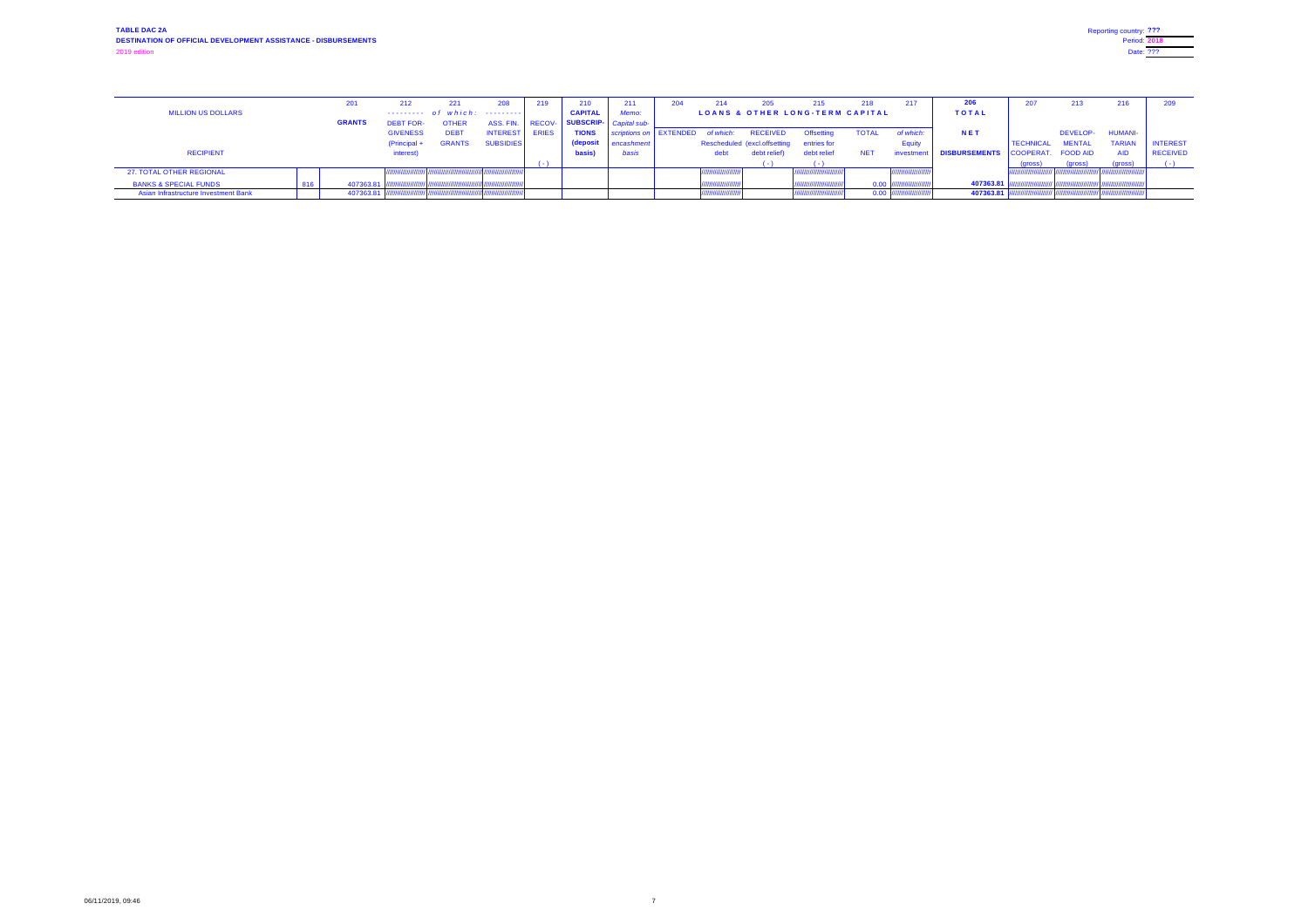|                                             | 201           | 212.             |                                 | 208              |               | 210                        | 211                                |      |                 |                                            | 218          | 217              |                                  | 207              | 213             | 216            |                 |
|---------------------------------------------|---------------|------------------|---------------------------------|------------------|---------------|----------------------------|------------------------------------|------|-----------------|--------------------------------------------|--------------|------------------|----------------------------------|------------------|-----------------|----------------|-----------------|
| <b>MILLION US DOLLARS</b>                   |               |                  | $-$ -------- of which: -------- |                  |               | <b>CAPITAL</b>             | Memo:                              |      |                 | <b>LOANS &amp; OTHER LONG-TERM CAPITAL</b> |              |                  | <b>TOTAL</b>                     |                  |                 |                |                 |
|                                             | <b>GRANTS</b> | <b>DEBT FOR-</b> |                                 | ASS. FIN.        | <b>RECOV-</b> | - SUBSCRIP-   Capital sub- |                                    |      |                 |                                            |              |                  |                                  |                  |                 |                |                 |
|                                             |               | <b>GIVENESS</b>  | <b>DEB1</b>                     | <b>INTEREST</b>  | <b>ERIES</b>  | <b>TIONS</b>               | scriptions on   EXTENDED of which: |      | <b>RECEIVED</b> | Offsetting                                 | <b>TOTAL</b> | of which:        | NET                              |                  | <b>DEVELOP-</b> | <b>HUMANI-</b> |                 |
|                                             |               | $(Principal +$   | <b>GRANTS</b>                   | <b>SUBSIDIES</b> |               | (deposit                   | encashment                         |      |                 | Rescheduled (excl.offsetting entries for   |              | Equity           |                                  | <b>TECHNICAL</b> | <b>MENTAL</b>   | <b>TARIAN</b>  | <b>INTEREST</b> |
| <b>RECIPIENT</b>                            |               | interest)        |                                 |                  |               | basis)                     | basis                              | debt | debt relief)    | debt relief                                | <b>NET</b>   | <b>nvestment</b> | DISBURSEMENTS COOPERAT. FOOD AID |                  |                 |                | <b>RECEIVED</b> |
|                                             |               |                  |                                 |                  |               |                            |                                    |      |                 |                                            |              |                  |                                  | 'gross)          | (gross)         | (gross)        |                 |
| 27. TOTAL OTHER REGIONAL                    |               |                  |                                 |                  |               |                            |                                    |      |                 |                                            |              |                  |                                  |                  |                 |                |                 |
| <b>BANKS &amp; SPECIAL FUNDS</b>            | 407363.81     |                  |                                 |                  |               |                            |                                    |      |                 |                                            | 0.00         |                  | 407363.81                        |                  |                 |                |                 |
| <b>Asian Infrastructure Investment Bank</b> | 407363.81     |                  |                                 |                  |               |                            |                                    |      |                 |                                            | 0.00         |                  | 407363.81                        |                  |                 |                |                 |

| Reporting country: ??? |  |
|------------------------|--|
| <b>Period: 2018</b>    |  |
| Date: ???              |  |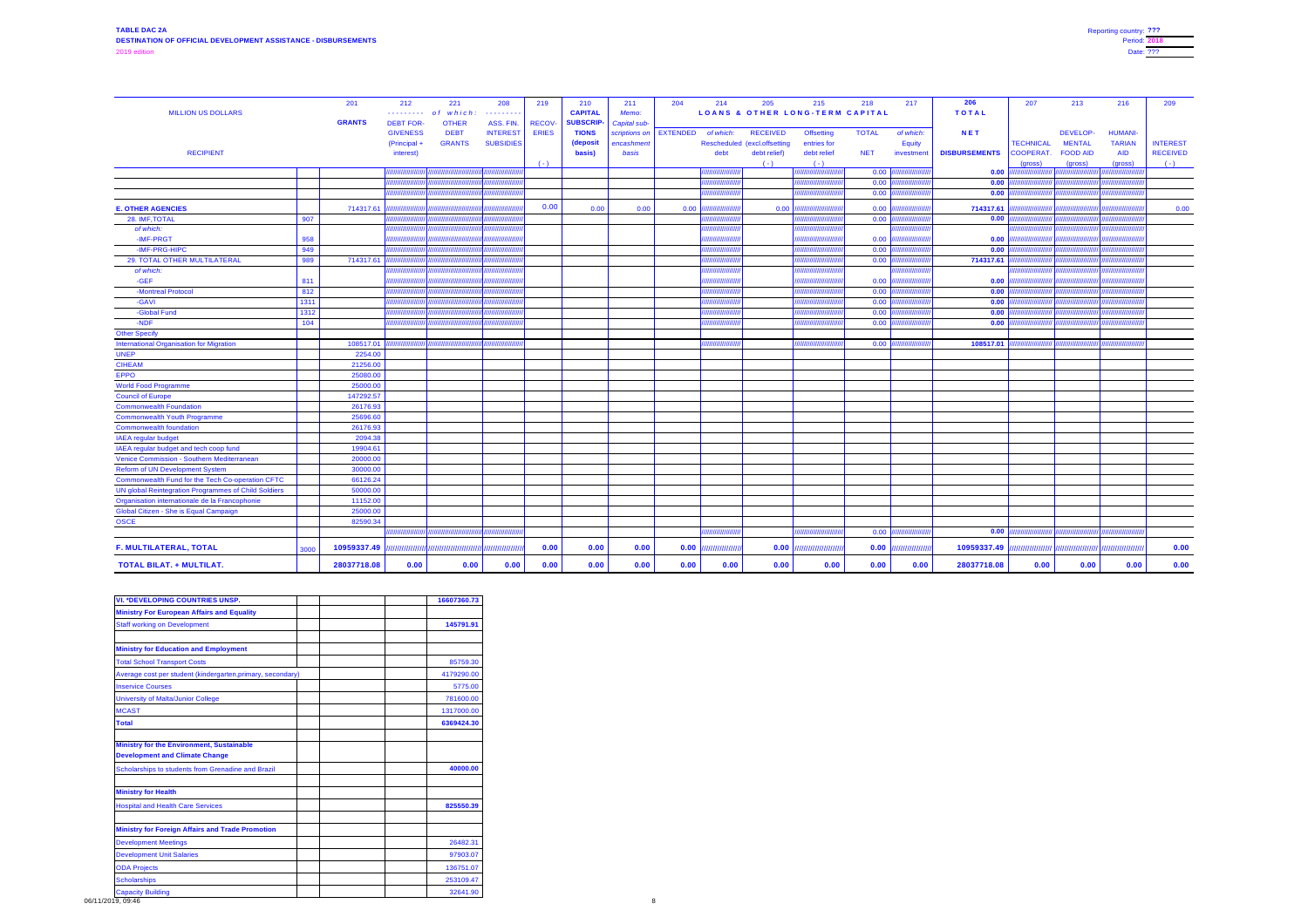| <b>TOTAL</b><br><b>CAPITAL</b><br><b>LOANS &amp; OTHER LONG-TERM CAPITAL</b><br><b>MILLION US DOLLARS</b><br>Memo:<br>of which:<br>.<br>. <b>.</b><br><b>GRANTS</b><br><b>SUBSCRIP-</b><br><b>DEBT FOR-</b><br>ASS. FIN.<br><b>RECOV-</b><br><b>OTHER</b><br>Capital sub-<br><b>NET</b><br><b>DEBT</b><br><b>ERIES</b><br><b>TIONS</b><br><b>TOTAL</b><br><b>GIVENESS</b><br><b>INTEREST</b><br>scriptions on   EXTENDED<br><b>RECEIVED</b><br>of which:<br><b>DEVELOP-</b><br>of which:<br><b>Offsetting</b><br><b>HUMANI-</b><br><b>GRANTS</b><br>(deposit<br><b>MENTAL</b><br><b>TARIAN</b><br><b>INTEREST</b><br>(Principal +<br><b>SUBSIDIES</b><br><b>TECHNICAL</b><br>encashment<br>Rescheduled (excl.offsetting<br>entries for<br><b>Equity</b><br><b>DISBURSEMENTS</b><br><b>RECIPIENT</b><br>basis)<br><b>FOOD AID</b><br><b>RECEIVED</b><br>debt relief)<br>debt relief<br><b>NET</b><br><b>COOPERAT.</b><br><b>AID</b><br>basis<br>interest)<br>debt<br>investment<br>(gross)<br>$( - )$<br>$( - )$<br>(gross)<br>(gross)<br>$(-)$<br>$0.00$ $\vert$<br>0.00<br>,,,,,,,,,,,,<br>,,,,,,,,,,,,,,<br>,,,,,,,,,,,,,,<br>77777777<br>0.00<br>0.00<br>//////////////<br>лининин<br>'////////////<br>0.00<br> 0.00 <br>,,,,,,,,,,,,,,,<br>,,,,,,,,,,,,,,<br>,,,,,,,,,,,,,,<br>0.00<br>714317.61<br><b>E. OTHER AGENCIES</b><br>714317.61<br>0.00<br>0.00<br>0.00<br>0.00<br>0.00<br>0.00<br>,,,,,,,,,,,,<br>,,,,,,,,,,,<br>,,,,,,,,,,,,,,<br>$\vert 0.00 \vert$<br>907<br>$0.00$ ///<br>////////////////<br>,,,,,,,,,,,,,,,<br>28. IMF, TOTAL<br>,,,,,,,,,,,,,,<br>,,,,,,,,,,,,,,,,,<br>/////////////<br>,,,,,,,,,,,,,<br>of which:<br>,,,,,,,,,,,,,,,<br>,,,,,,,,,,,<br>//////////////<br>11111111111111111'<br>,,,,,,,,,,,,,,,,,<br>/////////////////<br>958<br>0.00<br>-IMF-PRGT<br>$0.00$  /<br>,,,,,,,,,,,,<br>77777777777777<br>////////////<br>,,,,,,,,,,,,<br>0.00<br>949<br>-IMF-PRG-HIPC<br>$0.00$ //<br>////////////////<br>,,,,,,,,,,,,,<br>,,,,,,,,,,,,,,,,,<br>,,,,,,,,,,,,,,,,<br>,,,,,,,,,,,,,,,<br>989<br>714317.61<br>$0.00$ ///<br>714317.61<br>29. TOTAL OTHER MULTILATERAL<br>///////////////<br>////////////<br>////////////<br>77777777777<br>,,,,,,,,,,,,,,<br>of which:<br>,,,,,,,,,,,,,,,,,<br>,,,,,,,,,,,,<br><i><b>MINIMINING</b></i><br>,,,,,,,,,,,,,,,<br>777777777777777<br>//////////////////<br>-GEF<br>811<br>0.00<br>0.00<br>,,,,,,,,,,<br>7777777777777<br>///////////<br>,,,,,,,,,,,<br>0.00<br>-Montreal Protocol<br>812<br>$0.00$  /<br>,,,,,,,,,,,,,,,,<br>/////////////<br>,,,,,,,,,,,,,,,<br>///////////<br>0.00<br>1311<br>0.00<br>-GAVI<br>,,,,,,,,,,<br>77777777777777<br>1312<br>$0.00$  /<br>0.00<br>-Global Fund<br>,,,,,,,,,,<br>,,,,,,,,,,,,,,,,,,<br>,,,,,,,,,,,<br>0.00<br>-NDF<br>104<br> 0.00 <br>777777777777777<br><b>Other Specify</b><br>108517.01<br>$0.00$ $\vert$ //<br><b>International Organisation for Migration</b><br>108517.01<br>/////////////////<br>,,,,,,,,,,,,,<br>,,,,,,,,,,,,,<br>,,,,,,,,,,,,,,,<br><b>UNEP</b><br>2254.00<br><b>CIHEAM</b><br>21256.00<br><b>EPPO</b><br>25080.00<br>25000.00<br><b>World Food Programme</b><br>147292.57<br><b>Council of Europe</b><br><b>Commonwealth Foundation</b><br>26176.93<br>25696.60<br><b>Commonwealth Youth Programme</b><br>26176.93<br><b>Commonwealth foundation</b><br>2094.38<br><b>IAEA</b> regular budget<br>19904.61<br>IAEA regular budget and tech coop fund<br>20000.00<br>Venice Commission - Southern Mediterranean<br><b>Reform of UN Development System</b><br>30000.00<br><b>Commonwealth Fund for the Tech Co-operation CFTC</b><br>66126.24<br>50000.00<br>UN global Reintegration Programmes of Child Soldiers<br>Organisation internationale de la Francophonie<br>11152.00<br>25000.00<br>82590.34<br>0.00<br>$0.00$ $\vert$<br>,,,,,,,,,,,,,,,,,<br>////////////////<br>777777777<br>0.00<br>0.00<br>0.00<br>$\bm{0.00}$ $\bm{\mathsf{}}$<br>10959337.49<br>0.00<br>//////////////<br>$\vert 0.00 \vert \vert$<br>10959337.49<br>/////////////////<br>0.00<br>'///////////////<br>3000<br>0.00<br>0.00<br>0.00<br>0.00<br>0.00<br>0.00<br>0.00<br>0.00<br>0.00<br>0.00<br>0.00<br>0.00<br>0.00<br>0.00<br><b>TOTAL BILAT. + MULTILAT.</b><br>28037718.08<br>0.00<br>0.00<br>28037718.08 |                                               | 201 | 212 | 221 | 208 | 219 | 210 | 211 | 204 | 214 | 205 | 215 | 218 | 217 | 206 | 207 | 213 | 216 | 209 |
|---------------------------------------------------------------------------------------------------------------------------------------------------------------------------------------------------------------------------------------------------------------------------------------------------------------------------------------------------------------------------------------------------------------------------------------------------------------------------------------------------------------------------------------------------------------------------------------------------------------------------------------------------------------------------------------------------------------------------------------------------------------------------------------------------------------------------------------------------------------------------------------------------------------------------------------------------------------------------------------------------------------------------------------------------------------------------------------------------------------------------------------------------------------------------------------------------------------------------------------------------------------------------------------------------------------------------------------------------------------------------------------------------------------------------------------------------------------------------------------------------------------------------------------------------------------------------------------------------------------------------------------------------------------------------------------------------------------------------------------------------------------------------------------------------------------------------------------------------------------------------------------------------------------------------------------------------------------------------------------------------------------------------------------------------------------------------------------------------------------------------------------------------------------------------------------------------------------------------------------------------------------------------------------------------------------------------------------------------------------------------------------------------------------------------------------------------------------------------------------------------------------------------------------------------------------------------------------------------------------------------------------------------------------------------------------------------------------------------------------------------------------------------------------------------------------------------------------------------------------------------------------------------------------------------------------------------------------------------------------------------------------------------------------------------------------------------------------------------------------------------------------------------------------------------------------------------------------------------------------------------------------------------------------------------------------------------------------------------------------------------------------------------------------------------------------------------------------------------------------------------------------------------------------------------------------------------------------------------------------------------------------------------------------------------------------------------------------------------------------------------------------------------------------------------------------------------------------------------------------------------------------------------------------------------------------------------------------------------------------------------------------------------------------------------------------------------------------------------------------------------------------------------------------------------------------------------------------------------------------------|-----------------------------------------------|-----|-----|-----|-----|-----|-----|-----|-----|-----|-----|-----|-----|-----|-----|-----|-----|-----|-----|
|                                                                                                                                                                                                                                                                                                                                                                                                                                                                                                                                                                                                                                                                                                                                                                                                                                                                                                                                                                                                                                                                                                                                                                                                                                                                                                                                                                                                                                                                                                                                                                                                                                                                                                                                                                                                                                                                                                                                                                                                                                                                                                                                                                                                                                                                                                                                                                                                                                                                                                                                                                                                                                                                                                                                                                                                                                                                                                                                                                                                                                                                                                                                                                                                                                                                                                                                                                                                                                                                                                                                                                                                                                                                                                                                                                                                                                                                                                                                                                                                                                                                                                                                                                                                                                             |                                               |     |     |     |     |     |     |     |     |     |     |     |     |     |     |     |     |     |     |
|                                                                                                                                                                                                                                                                                                                                                                                                                                                                                                                                                                                                                                                                                                                                                                                                                                                                                                                                                                                                                                                                                                                                                                                                                                                                                                                                                                                                                                                                                                                                                                                                                                                                                                                                                                                                                                                                                                                                                                                                                                                                                                                                                                                                                                                                                                                                                                                                                                                                                                                                                                                                                                                                                                                                                                                                                                                                                                                                                                                                                                                                                                                                                                                                                                                                                                                                                                                                                                                                                                                                                                                                                                                                                                                                                                                                                                                                                                                                                                                                                                                                                                                                                                                                                                             |                                               |     |     |     |     |     |     |     |     |     |     |     |     |     |     |     |     |     |     |
|                                                                                                                                                                                                                                                                                                                                                                                                                                                                                                                                                                                                                                                                                                                                                                                                                                                                                                                                                                                                                                                                                                                                                                                                                                                                                                                                                                                                                                                                                                                                                                                                                                                                                                                                                                                                                                                                                                                                                                                                                                                                                                                                                                                                                                                                                                                                                                                                                                                                                                                                                                                                                                                                                                                                                                                                                                                                                                                                                                                                                                                                                                                                                                                                                                                                                                                                                                                                                                                                                                                                                                                                                                                                                                                                                                                                                                                                                                                                                                                                                                                                                                                                                                                                                                             |                                               |     |     |     |     |     |     |     |     |     |     |     |     |     |     |     |     |     |     |
|                                                                                                                                                                                                                                                                                                                                                                                                                                                                                                                                                                                                                                                                                                                                                                                                                                                                                                                                                                                                                                                                                                                                                                                                                                                                                                                                                                                                                                                                                                                                                                                                                                                                                                                                                                                                                                                                                                                                                                                                                                                                                                                                                                                                                                                                                                                                                                                                                                                                                                                                                                                                                                                                                                                                                                                                                                                                                                                                                                                                                                                                                                                                                                                                                                                                                                                                                                                                                                                                                                                                                                                                                                                                                                                                                                                                                                                                                                                                                                                                                                                                                                                                                                                                                                             |                                               |     |     |     |     |     |     |     |     |     |     |     |     |     |     |     |     |     |     |
|                                                                                                                                                                                                                                                                                                                                                                                                                                                                                                                                                                                                                                                                                                                                                                                                                                                                                                                                                                                                                                                                                                                                                                                                                                                                                                                                                                                                                                                                                                                                                                                                                                                                                                                                                                                                                                                                                                                                                                                                                                                                                                                                                                                                                                                                                                                                                                                                                                                                                                                                                                                                                                                                                                                                                                                                                                                                                                                                                                                                                                                                                                                                                                                                                                                                                                                                                                                                                                                                                                                                                                                                                                                                                                                                                                                                                                                                                                                                                                                                                                                                                                                                                                                                                                             |                                               |     |     |     |     |     |     |     |     |     |     |     |     |     |     |     |     |     |     |
|                                                                                                                                                                                                                                                                                                                                                                                                                                                                                                                                                                                                                                                                                                                                                                                                                                                                                                                                                                                                                                                                                                                                                                                                                                                                                                                                                                                                                                                                                                                                                                                                                                                                                                                                                                                                                                                                                                                                                                                                                                                                                                                                                                                                                                                                                                                                                                                                                                                                                                                                                                                                                                                                                                                                                                                                                                                                                                                                                                                                                                                                                                                                                                                                                                                                                                                                                                                                                                                                                                                                                                                                                                                                                                                                                                                                                                                                                                                                                                                                                                                                                                                                                                                                                                             |                                               |     |     |     |     |     |     |     |     |     |     |     |     |     |     |     |     |     |     |
|                                                                                                                                                                                                                                                                                                                                                                                                                                                                                                                                                                                                                                                                                                                                                                                                                                                                                                                                                                                                                                                                                                                                                                                                                                                                                                                                                                                                                                                                                                                                                                                                                                                                                                                                                                                                                                                                                                                                                                                                                                                                                                                                                                                                                                                                                                                                                                                                                                                                                                                                                                                                                                                                                                                                                                                                                                                                                                                                                                                                                                                                                                                                                                                                                                                                                                                                                                                                                                                                                                                                                                                                                                                                                                                                                                                                                                                                                                                                                                                                                                                                                                                                                                                                                                             |                                               |     |     |     |     |     |     |     |     |     |     |     |     |     |     |     |     |     |     |
|                                                                                                                                                                                                                                                                                                                                                                                                                                                                                                                                                                                                                                                                                                                                                                                                                                                                                                                                                                                                                                                                                                                                                                                                                                                                                                                                                                                                                                                                                                                                                                                                                                                                                                                                                                                                                                                                                                                                                                                                                                                                                                                                                                                                                                                                                                                                                                                                                                                                                                                                                                                                                                                                                                                                                                                                                                                                                                                                                                                                                                                                                                                                                                                                                                                                                                                                                                                                                                                                                                                                                                                                                                                                                                                                                                                                                                                                                                                                                                                                                                                                                                                                                                                                                                             |                                               |     |     |     |     |     |     |     |     |     |     |     |     |     |     |     |     |     |     |
|                                                                                                                                                                                                                                                                                                                                                                                                                                                                                                                                                                                                                                                                                                                                                                                                                                                                                                                                                                                                                                                                                                                                                                                                                                                                                                                                                                                                                                                                                                                                                                                                                                                                                                                                                                                                                                                                                                                                                                                                                                                                                                                                                                                                                                                                                                                                                                                                                                                                                                                                                                                                                                                                                                                                                                                                                                                                                                                                                                                                                                                                                                                                                                                                                                                                                                                                                                                                                                                                                                                                                                                                                                                                                                                                                                                                                                                                                                                                                                                                                                                                                                                                                                                                                                             |                                               |     |     |     |     |     |     |     |     |     |     |     |     |     |     |     |     |     |     |
|                                                                                                                                                                                                                                                                                                                                                                                                                                                                                                                                                                                                                                                                                                                                                                                                                                                                                                                                                                                                                                                                                                                                                                                                                                                                                                                                                                                                                                                                                                                                                                                                                                                                                                                                                                                                                                                                                                                                                                                                                                                                                                                                                                                                                                                                                                                                                                                                                                                                                                                                                                                                                                                                                                                                                                                                                                                                                                                                                                                                                                                                                                                                                                                                                                                                                                                                                                                                                                                                                                                                                                                                                                                                                                                                                                                                                                                                                                                                                                                                                                                                                                                                                                                                                                             |                                               |     |     |     |     |     |     |     |     |     |     |     |     |     |     |     |     |     |     |
|                                                                                                                                                                                                                                                                                                                                                                                                                                                                                                                                                                                                                                                                                                                                                                                                                                                                                                                                                                                                                                                                                                                                                                                                                                                                                                                                                                                                                                                                                                                                                                                                                                                                                                                                                                                                                                                                                                                                                                                                                                                                                                                                                                                                                                                                                                                                                                                                                                                                                                                                                                                                                                                                                                                                                                                                                                                                                                                                                                                                                                                                                                                                                                                                                                                                                                                                                                                                                                                                                                                                                                                                                                                                                                                                                                                                                                                                                                                                                                                                                                                                                                                                                                                                                                             |                                               |     |     |     |     |     |     |     |     |     |     |     |     |     |     |     |     |     |     |
|                                                                                                                                                                                                                                                                                                                                                                                                                                                                                                                                                                                                                                                                                                                                                                                                                                                                                                                                                                                                                                                                                                                                                                                                                                                                                                                                                                                                                                                                                                                                                                                                                                                                                                                                                                                                                                                                                                                                                                                                                                                                                                                                                                                                                                                                                                                                                                                                                                                                                                                                                                                                                                                                                                                                                                                                                                                                                                                                                                                                                                                                                                                                                                                                                                                                                                                                                                                                                                                                                                                                                                                                                                                                                                                                                                                                                                                                                                                                                                                                                                                                                                                                                                                                                                             |                                               |     |     |     |     |     |     |     |     |     |     |     |     |     |     |     |     |     |     |
|                                                                                                                                                                                                                                                                                                                                                                                                                                                                                                                                                                                                                                                                                                                                                                                                                                                                                                                                                                                                                                                                                                                                                                                                                                                                                                                                                                                                                                                                                                                                                                                                                                                                                                                                                                                                                                                                                                                                                                                                                                                                                                                                                                                                                                                                                                                                                                                                                                                                                                                                                                                                                                                                                                                                                                                                                                                                                                                                                                                                                                                                                                                                                                                                                                                                                                                                                                                                                                                                                                                                                                                                                                                                                                                                                                                                                                                                                                                                                                                                                                                                                                                                                                                                                                             |                                               |     |     |     |     |     |     |     |     |     |     |     |     |     |     |     |     |     |     |
|                                                                                                                                                                                                                                                                                                                                                                                                                                                                                                                                                                                                                                                                                                                                                                                                                                                                                                                                                                                                                                                                                                                                                                                                                                                                                                                                                                                                                                                                                                                                                                                                                                                                                                                                                                                                                                                                                                                                                                                                                                                                                                                                                                                                                                                                                                                                                                                                                                                                                                                                                                                                                                                                                                                                                                                                                                                                                                                                                                                                                                                                                                                                                                                                                                                                                                                                                                                                                                                                                                                                                                                                                                                                                                                                                                                                                                                                                                                                                                                                                                                                                                                                                                                                                                             |                                               |     |     |     |     |     |     |     |     |     |     |     |     |     |     |     |     |     |     |
|                                                                                                                                                                                                                                                                                                                                                                                                                                                                                                                                                                                                                                                                                                                                                                                                                                                                                                                                                                                                                                                                                                                                                                                                                                                                                                                                                                                                                                                                                                                                                                                                                                                                                                                                                                                                                                                                                                                                                                                                                                                                                                                                                                                                                                                                                                                                                                                                                                                                                                                                                                                                                                                                                                                                                                                                                                                                                                                                                                                                                                                                                                                                                                                                                                                                                                                                                                                                                                                                                                                                                                                                                                                                                                                                                                                                                                                                                                                                                                                                                                                                                                                                                                                                                                             |                                               |     |     |     |     |     |     |     |     |     |     |     |     |     |     |     |     |     |     |
|                                                                                                                                                                                                                                                                                                                                                                                                                                                                                                                                                                                                                                                                                                                                                                                                                                                                                                                                                                                                                                                                                                                                                                                                                                                                                                                                                                                                                                                                                                                                                                                                                                                                                                                                                                                                                                                                                                                                                                                                                                                                                                                                                                                                                                                                                                                                                                                                                                                                                                                                                                                                                                                                                                                                                                                                                                                                                                                                                                                                                                                                                                                                                                                                                                                                                                                                                                                                                                                                                                                                                                                                                                                                                                                                                                                                                                                                                                                                                                                                                                                                                                                                                                                                                                             |                                               |     |     |     |     |     |     |     |     |     |     |     |     |     |     |     |     |     |     |
|                                                                                                                                                                                                                                                                                                                                                                                                                                                                                                                                                                                                                                                                                                                                                                                                                                                                                                                                                                                                                                                                                                                                                                                                                                                                                                                                                                                                                                                                                                                                                                                                                                                                                                                                                                                                                                                                                                                                                                                                                                                                                                                                                                                                                                                                                                                                                                                                                                                                                                                                                                                                                                                                                                                                                                                                                                                                                                                                                                                                                                                                                                                                                                                                                                                                                                                                                                                                                                                                                                                                                                                                                                                                                                                                                                                                                                                                                                                                                                                                                                                                                                                                                                                                                                             |                                               |     |     |     |     |     |     |     |     |     |     |     |     |     |     |     |     |     |     |
|                                                                                                                                                                                                                                                                                                                                                                                                                                                                                                                                                                                                                                                                                                                                                                                                                                                                                                                                                                                                                                                                                                                                                                                                                                                                                                                                                                                                                                                                                                                                                                                                                                                                                                                                                                                                                                                                                                                                                                                                                                                                                                                                                                                                                                                                                                                                                                                                                                                                                                                                                                                                                                                                                                                                                                                                                                                                                                                                                                                                                                                                                                                                                                                                                                                                                                                                                                                                                                                                                                                                                                                                                                                                                                                                                                                                                                                                                                                                                                                                                                                                                                                                                                                                                                             |                                               |     |     |     |     |     |     |     |     |     |     |     |     |     |     |     |     |     |     |
|                                                                                                                                                                                                                                                                                                                                                                                                                                                                                                                                                                                                                                                                                                                                                                                                                                                                                                                                                                                                                                                                                                                                                                                                                                                                                                                                                                                                                                                                                                                                                                                                                                                                                                                                                                                                                                                                                                                                                                                                                                                                                                                                                                                                                                                                                                                                                                                                                                                                                                                                                                                                                                                                                                                                                                                                                                                                                                                                                                                                                                                                                                                                                                                                                                                                                                                                                                                                                                                                                                                                                                                                                                                                                                                                                                                                                                                                                                                                                                                                                                                                                                                                                                                                                                             |                                               |     |     |     |     |     |     |     |     |     |     |     |     |     |     |     |     |     |     |
|                                                                                                                                                                                                                                                                                                                                                                                                                                                                                                                                                                                                                                                                                                                                                                                                                                                                                                                                                                                                                                                                                                                                                                                                                                                                                                                                                                                                                                                                                                                                                                                                                                                                                                                                                                                                                                                                                                                                                                                                                                                                                                                                                                                                                                                                                                                                                                                                                                                                                                                                                                                                                                                                                                                                                                                                                                                                                                                                                                                                                                                                                                                                                                                                                                                                                                                                                                                                                                                                                                                                                                                                                                                                                                                                                                                                                                                                                                                                                                                                                                                                                                                                                                                                                                             |                                               |     |     |     |     |     |     |     |     |     |     |     |     |     |     |     |     |     |     |
|                                                                                                                                                                                                                                                                                                                                                                                                                                                                                                                                                                                                                                                                                                                                                                                                                                                                                                                                                                                                                                                                                                                                                                                                                                                                                                                                                                                                                                                                                                                                                                                                                                                                                                                                                                                                                                                                                                                                                                                                                                                                                                                                                                                                                                                                                                                                                                                                                                                                                                                                                                                                                                                                                                                                                                                                                                                                                                                                                                                                                                                                                                                                                                                                                                                                                                                                                                                                                                                                                                                                                                                                                                                                                                                                                                                                                                                                                                                                                                                                                                                                                                                                                                                                                                             |                                               |     |     |     |     |     |     |     |     |     |     |     |     |     |     |     |     |     |     |
|                                                                                                                                                                                                                                                                                                                                                                                                                                                                                                                                                                                                                                                                                                                                                                                                                                                                                                                                                                                                                                                                                                                                                                                                                                                                                                                                                                                                                                                                                                                                                                                                                                                                                                                                                                                                                                                                                                                                                                                                                                                                                                                                                                                                                                                                                                                                                                                                                                                                                                                                                                                                                                                                                                                                                                                                                                                                                                                                                                                                                                                                                                                                                                                                                                                                                                                                                                                                                                                                                                                                                                                                                                                                                                                                                                                                                                                                                                                                                                                                                                                                                                                                                                                                                                             |                                               |     |     |     |     |     |     |     |     |     |     |     |     |     |     |     |     |     |     |
|                                                                                                                                                                                                                                                                                                                                                                                                                                                                                                                                                                                                                                                                                                                                                                                                                                                                                                                                                                                                                                                                                                                                                                                                                                                                                                                                                                                                                                                                                                                                                                                                                                                                                                                                                                                                                                                                                                                                                                                                                                                                                                                                                                                                                                                                                                                                                                                                                                                                                                                                                                                                                                                                                                                                                                                                                                                                                                                                                                                                                                                                                                                                                                                                                                                                                                                                                                                                                                                                                                                                                                                                                                                                                                                                                                                                                                                                                                                                                                                                                                                                                                                                                                                                                                             |                                               |     |     |     |     |     |     |     |     |     |     |     |     |     |     |     |     |     |     |
|                                                                                                                                                                                                                                                                                                                                                                                                                                                                                                                                                                                                                                                                                                                                                                                                                                                                                                                                                                                                                                                                                                                                                                                                                                                                                                                                                                                                                                                                                                                                                                                                                                                                                                                                                                                                                                                                                                                                                                                                                                                                                                                                                                                                                                                                                                                                                                                                                                                                                                                                                                                                                                                                                                                                                                                                                                                                                                                                                                                                                                                                                                                                                                                                                                                                                                                                                                                                                                                                                                                                                                                                                                                                                                                                                                                                                                                                                                                                                                                                                                                                                                                                                                                                                                             |                                               |     |     |     |     |     |     |     |     |     |     |     |     |     |     |     |     |     |     |
|                                                                                                                                                                                                                                                                                                                                                                                                                                                                                                                                                                                                                                                                                                                                                                                                                                                                                                                                                                                                                                                                                                                                                                                                                                                                                                                                                                                                                                                                                                                                                                                                                                                                                                                                                                                                                                                                                                                                                                                                                                                                                                                                                                                                                                                                                                                                                                                                                                                                                                                                                                                                                                                                                                                                                                                                                                                                                                                                                                                                                                                                                                                                                                                                                                                                                                                                                                                                                                                                                                                                                                                                                                                                                                                                                                                                                                                                                                                                                                                                                                                                                                                                                                                                                                             |                                               |     |     |     |     |     |     |     |     |     |     |     |     |     |     |     |     |     |     |
|                                                                                                                                                                                                                                                                                                                                                                                                                                                                                                                                                                                                                                                                                                                                                                                                                                                                                                                                                                                                                                                                                                                                                                                                                                                                                                                                                                                                                                                                                                                                                                                                                                                                                                                                                                                                                                                                                                                                                                                                                                                                                                                                                                                                                                                                                                                                                                                                                                                                                                                                                                                                                                                                                                                                                                                                                                                                                                                                                                                                                                                                                                                                                                                                                                                                                                                                                                                                                                                                                                                                                                                                                                                                                                                                                                                                                                                                                                                                                                                                                                                                                                                                                                                                                                             |                                               |     |     |     |     |     |     |     |     |     |     |     |     |     |     |     |     |     |     |
|                                                                                                                                                                                                                                                                                                                                                                                                                                                                                                                                                                                                                                                                                                                                                                                                                                                                                                                                                                                                                                                                                                                                                                                                                                                                                                                                                                                                                                                                                                                                                                                                                                                                                                                                                                                                                                                                                                                                                                                                                                                                                                                                                                                                                                                                                                                                                                                                                                                                                                                                                                                                                                                                                                                                                                                                                                                                                                                                                                                                                                                                                                                                                                                                                                                                                                                                                                                                                                                                                                                                                                                                                                                                                                                                                                                                                                                                                                                                                                                                                                                                                                                                                                                                                                             |                                               |     |     |     |     |     |     |     |     |     |     |     |     |     |     |     |     |     |     |
|                                                                                                                                                                                                                                                                                                                                                                                                                                                                                                                                                                                                                                                                                                                                                                                                                                                                                                                                                                                                                                                                                                                                                                                                                                                                                                                                                                                                                                                                                                                                                                                                                                                                                                                                                                                                                                                                                                                                                                                                                                                                                                                                                                                                                                                                                                                                                                                                                                                                                                                                                                                                                                                                                                                                                                                                                                                                                                                                                                                                                                                                                                                                                                                                                                                                                                                                                                                                                                                                                                                                                                                                                                                                                                                                                                                                                                                                                                                                                                                                                                                                                                                                                                                                                                             |                                               |     |     |     |     |     |     |     |     |     |     |     |     |     |     |     |     |     |     |
|                                                                                                                                                                                                                                                                                                                                                                                                                                                                                                                                                                                                                                                                                                                                                                                                                                                                                                                                                                                                                                                                                                                                                                                                                                                                                                                                                                                                                                                                                                                                                                                                                                                                                                                                                                                                                                                                                                                                                                                                                                                                                                                                                                                                                                                                                                                                                                                                                                                                                                                                                                                                                                                                                                                                                                                                                                                                                                                                                                                                                                                                                                                                                                                                                                                                                                                                                                                                                                                                                                                                                                                                                                                                                                                                                                                                                                                                                                                                                                                                                                                                                                                                                                                                                                             |                                               |     |     |     |     |     |     |     |     |     |     |     |     |     |     |     |     |     |     |
|                                                                                                                                                                                                                                                                                                                                                                                                                                                                                                                                                                                                                                                                                                                                                                                                                                                                                                                                                                                                                                                                                                                                                                                                                                                                                                                                                                                                                                                                                                                                                                                                                                                                                                                                                                                                                                                                                                                                                                                                                                                                                                                                                                                                                                                                                                                                                                                                                                                                                                                                                                                                                                                                                                                                                                                                                                                                                                                                                                                                                                                                                                                                                                                                                                                                                                                                                                                                                                                                                                                                                                                                                                                                                                                                                                                                                                                                                                                                                                                                                                                                                                                                                                                                                                             |                                               |     |     |     |     |     |     |     |     |     |     |     |     |     |     |     |     |     |     |
|                                                                                                                                                                                                                                                                                                                                                                                                                                                                                                                                                                                                                                                                                                                                                                                                                                                                                                                                                                                                                                                                                                                                                                                                                                                                                                                                                                                                                                                                                                                                                                                                                                                                                                                                                                                                                                                                                                                                                                                                                                                                                                                                                                                                                                                                                                                                                                                                                                                                                                                                                                                                                                                                                                                                                                                                                                                                                                                                                                                                                                                                                                                                                                                                                                                                                                                                                                                                                                                                                                                                                                                                                                                                                                                                                                                                                                                                                                                                                                                                                                                                                                                                                                                                                                             |                                               |     |     |     |     |     |     |     |     |     |     |     |     |     |     |     |     |     |     |
|                                                                                                                                                                                                                                                                                                                                                                                                                                                                                                                                                                                                                                                                                                                                                                                                                                                                                                                                                                                                                                                                                                                                                                                                                                                                                                                                                                                                                                                                                                                                                                                                                                                                                                                                                                                                                                                                                                                                                                                                                                                                                                                                                                                                                                                                                                                                                                                                                                                                                                                                                                                                                                                                                                                                                                                                                                                                                                                                                                                                                                                                                                                                                                                                                                                                                                                                                                                                                                                                                                                                                                                                                                                                                                                                                                                                                                                                                                                                                                                                                                                                                                                                                                                                                                             |                                               |     |     |     |     |     |     |     |     |     |     |     |     |     |     |     |     |     |     |
|                                                                                                                                                                                                                                                                                                                                                                                                                                                                                                                                                                                                                                                                                                                                                                                                                                                                                                                                                                                                                                                                                                                                                                                                                                                                                                                                                                                                                                                                                                                                                                                                                                                                                                                                                                                                                                                                                                                                                                                                                                                                                                                                                                                                                                                                                                                                                                                                                                                                                                                                                                                                                                                                                                                                                                                                                                                                                                                                                                                                                                                                                                                                                                                                                                                                                                                                                                                                                                                                                                                                                                                                                                                                                                                                                                                                                                                                                                                                                                                                                                                                                                                                                                                                                                             |                                               |     |     |     |     |     |     |     |     |     |     |     |     |     |     |     |     |     |     |
|                                                                                                                                                                                                                                                                                                                                                                                                                                                                                                                                                                                                                                                                                                                                                                                                                                                                                                                                                                                                                                                                                                                                                                                                                                                                                                                                                                                                                                                                                                                                                                                                                                                                                                                                                                                                                                                                                                                                                                                                                                                                                                                                                                                                                                                                                                                                                                                                                                                                                                                                                                                                                                                                                                                                                                                                                                                                                                                                                                                                                                                                                                                                                                                                                                                                                                                                                                                                                                                                                                                                                                                                                                                                                                                                                                                                                                                                                                                                                                                                                                                                                                                                                                                                                                             |                                               |     |     |     |     |     |     |     |     |     |     |     |     |     |     |     |     |     |     |
|                                                                                                                                                                                                                                                                                                                                                                                                                                                                                                                                                                                                                                                                                                                                                                                                                                                                                                                                                                                                                                                                                                                                                                                                                                                                                                                                                                                                                                                                                                                                                                                                                                                                                                                                                                                                                                                                                                                                                                                                                                                                                                                                                                                                                                                                                                                                                                                                                                                                                                                                                                                                                                                                                                                                                                                                                                                                                                                                                                                                                                                                                                                                                                                                                                                                                                                                                                                                                                                                                                                                                                                                                                                                                                                                                                                                                                                                                                                                                                                                                                                                                                                                                                                                                                             |                                               |     |     |     |     |     |     |     |     |     |     |     |     |     |     |     |     |     |     |
|                                                                                                                                                                                                                                                                                                                                                                                                                                                                                                                                                                                                                                                                                                                                                                                                                                                                                                                                                                                                                                                                                                                                                                                                                                                                                                                                                                                                                                                                                                                                                                                                                                                                                                                                                                                                                                                                                                                                                                                                                                                                                                                                                                                                                                                                                                                                                                                                                                                                                                                                                                                                                                                                                                                                                                                                                                                                                                                                                                                                                                                                                                                                                                                                                                                                                                                                                                                                                                                                                                                                                                                                                                                                                                                                                                                                                                                                                                                                                                                                                                                                                                                                                                                                                                             |                                               |     |     |     |     |     |     |     |     |     |     |     |     |     |     |     |     |     |     |
|                                                                                                                                                                                                                                                                                                                                                                                                                                                                                                                                                                                                                                                                                                                                                                                                                                                                                                                                                                                                                                                                                                                                                                                                                                                                                                                                                                                                                                                                                                                                                                                                                                                                                                                                                                                                                                                                                                                                                                                                                                                                                                                                                                                                                                                                                                                                                                                                                                                                                                                                                                                                                                                                                                                                                                                                                                                                                                                                                                                                                                                                                                                                                                                                                                                                                                                                                                                                                                                                                                                                                                                                                                                                                                                                                                                                                                                                                                                                                                                                                                                                                                                                                                                                                                             |                                               |     |     |     |     |     |     |     |     |     |     |     |     |     |     |     |     |     |     |
|                                                                                                                                                                                                                                                                                                                                                                                                                                                                                                                                                                                                                                                                                                                                                                                                                                                                                                                                                                                                                                                                                                                                                                                                                                                                                                                                                                                                                                                                                                                                                                                                                                                                                                                                                                                                                                                                                                                                                                                                                                                                                                                                                                                                                                                                                                                                                                                                                                                                                                                                                                                                                                                                                                                                                                                                                                                                                                                                                                                                                                                                                                                                                                                                                                                                                                                                                                                                                                                                                                                                                                                                                                                                                                                                                                                                                                                                                                                                                                                                                                                                                                                                                                                                                                             | <b>Global Citizen - She is Equal Campaign</b> |     |     |     |     |     |     |     |     |     |     |     |     |     |     |     |     |     |     |
|                                                                                                                                                                                                                                                                                                                                                                                                                                                                                                                                                                                                                                                                                                                                                                                                                                                                                                                                                                                                                                                                                                                                                                                                                                                                                                                                                                                                                                                                                                                                                                                                                                                                                                                                                                                                                                                                                                                                                                                                                                                                                                                                                                                                                                                                                                                                                                                                                                                                                                                                                                                                                                                                                                                                                                                                                                                                                                                                                                                                                                                                                                                                                                                                                                                                                                                                                                                                                                                                                                                                                                                                                                                                                                                                                                                                                                                                                                                                                                                                                                                                                                                                                                                                                                             | <b>OSCE</b>                                   |     |     |     |     |     |     |     |     |     |     |     |     |     |     |     |     |     |     |
|                                                                                                                                                                                                                                                                                                                                                                                                                                                                                                                                                                                                                                                                                                                                                                                                                                                                                                                                                                                                                                                                                                                                                                                                                                                                                                                                                                                                                                                                                                                                                                                                                                                                                                                                                                                                                                                                                                                                                                                                                                                                                                                                                                                                                                                                                                                                                                                                                                                                                                                                                                                                                                                                                                                                                                                                                                                                                                                                                                                                                                                                                                                                                                                                                                                                                                                                                                                                                                                                                                                                                                                                                                                                                                                                                                                                                                                                                                                                                                                                                                                                                                                                                                                                                                             |                                               |     |     |     |     |     |     |     |     |     |     |     |     |     |     |     |     |     |     |
|                                                                                                                                                                                                                                                                                                                                                                                                                                                                                                                                                                                                                                                                                                                                                                                                                                                                                                                                                                                                                                                                                                                                                                                                                                                                                                                                                                                                                                                                                                                                                                                                                                                                                                                                                                                                                                                                                                                                                                                                                                                                                                                                                                                                                                                                                                                                                                                                                                                                                                                                                                                                                                                                                                                                                                                                                                                                                                                                                                                                                                                                                                                                                                                                                                                                                                                                                                                                                                                                                                                                                                                                                                                                                                                                                                                                                                                                                                                                                                                                                                                                                                                                                                                                                                             | <b>F. MULTILATERAL, TOTAL</b>                 |     |     |     |     |     |     |     |     |     |     |     |     |     |     |     |     |     |     |
|                                                                                                                                                                                                                                                                                                                                                                                                                                                                                                                                                                                                                                                                                                                                                                                                                                                                                                                                                                                                                                                                                                                                                                                                                                                                                                                                                                                                                                                                                                                                                                                                                                                                                                                                                                                                                                                                                                                                                                                                                                                                                                                                                                                                                                                                                                                                                                                                                                                                                                                                                                                                                                                                                                                                                                                                                                                                                                                                                                                                                                                                                                                                                                                                                                                                                                                                                                                                                                                                                                                                                                                                                                                                                                                                                                                                                                                                                                                                                                                                                                                                                                                                                                                                                                             |                                               |     |     |     |     |     |     |     |     |     |     |     |     |     |     |     |     |     |     |

| <b>VI. *DEVELOPING COUNTRIES UNSP.</b>                                                    | 16607360.73 |
|-------------------------------------------------------------------------------------------|-------------|
| <b>Ministry For European Affairs and Equality</b>                                         |             |
| <b>Staff working on Development</b>                                                       | 145791.91   |
| <b>Ministry for Education and Employment</b>                                              |             |
| <b>Total School Transport Costs</b>                                                       | 85759.30    |
| Average cost per student (kindergarten, primary, secondary)                               | 4179290.00  |
| <b>Inservice Courses</b>                                                                  | 5775.00     |
| <b>University of Malta/Junior College</b>                                                 | 781600.00   |
| <b>MCAST</b>                                                                              | 1317000.00  |
| <b>Total</b>                                                                              | 6369424.30  |
| <b>Ministry for the Environment, Sustainable</b><br><b>Development and Climate Change</b> |             |
| Scholarships to students from Grenadine and Brazil                                        | 40000.00    |
| <b>Ministry for Health</b>                                                                |             |
| <b>Hospital and Health Care Services</b>                                                  | 825550.39   |
| <b>Ministry for Foreign Affairs and Trade Promotion</b>                                   |             |
| <b>Development Meetings</b>                                                               | 26482.31    |
| <b>Development Unit Salaries</b>                                                          | 97903.07    |
| <b>ODA Projects</b>                                                                       | 136751.07   |
| <b>Scholarships</b>                                                                       | 253109.47   |
| <b>Capacity Building</b>                                                                  | 32641.90    |

| Reporting country: ??? |  |
|------------------------|--|
| <b>Period: 2018</b>    |  |
| Date: ???              |  |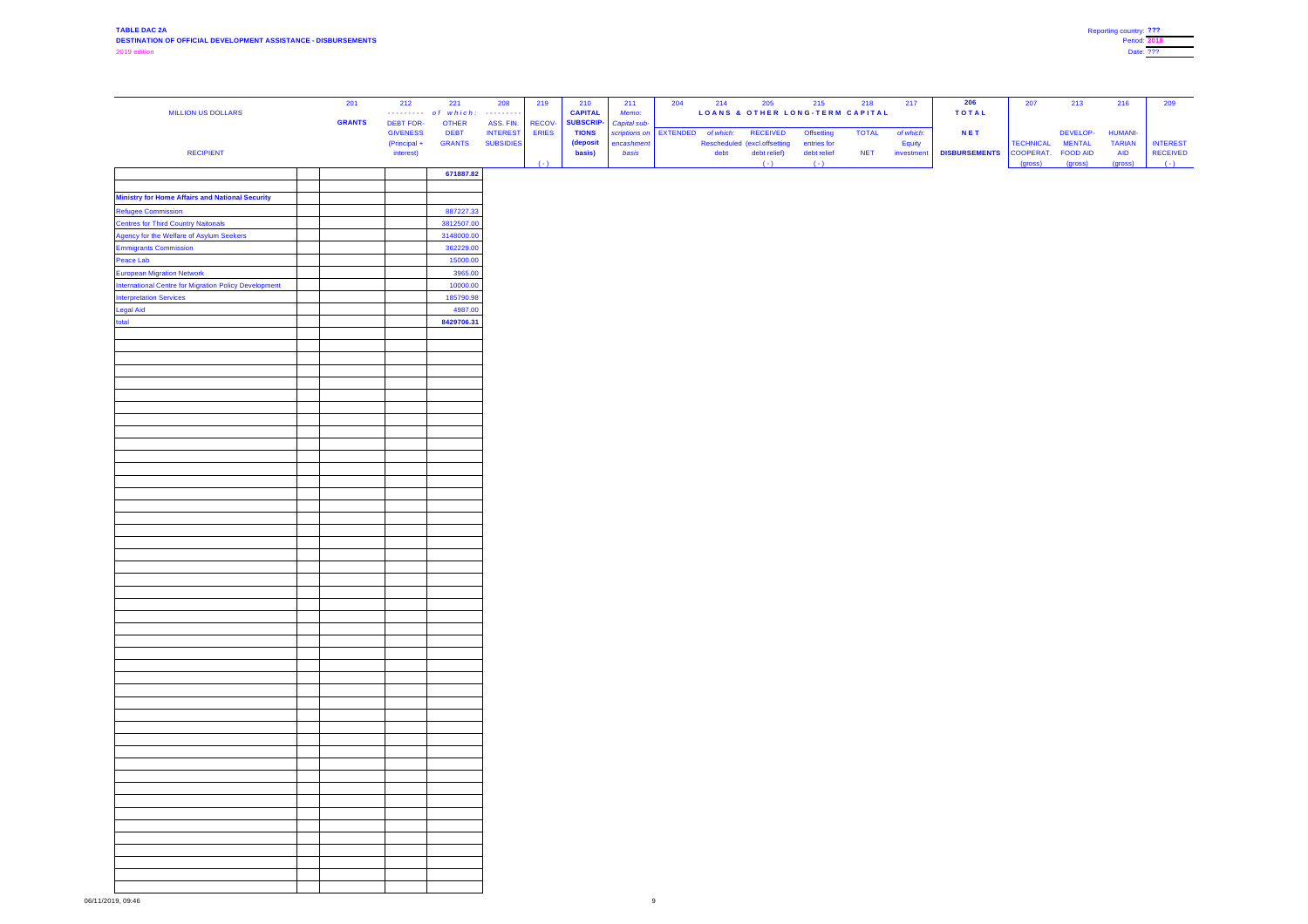| <b>MILLION US DOLLARS</b>                                    | 201           | 212                                 | 221<br>of which:            | 208<br>$\begin{array}{cccccccccccccc} \multicolumn{2}{c}{} & \multicolumn{2}{c}{} & \multicolumn{2}{c}{} & \multicolumn{2}{c}{} & \multicolumn{2}{c}{} & \multicolumn{2}{c}{} & \multicolumn{2}{c}{} & \multicolumn{2}{c}{} & \multicolumn{2}{c}{} & \multicolumn{2}{c}{} & \multicolumn{2}{c}{} & \multicolumn{2}{c}{} & \multicolumn{2}{c}{} & \multicolumn{2}{c}{} & \multicolumn{2}{c}{} & \multicolumn{2}{c}{} & \multicolumn{2}{c}{} & \multicolumn{2}{c}{} & \multicolumn{2}{c}{} & \$ | 219                    | 210<br><b>CAPITAL</b>            | 211<br>Memo:                             | 204 | 214       | 205<br>LOANS & OTHER LONG-TERM CAPITAL | 215                  | 218          | 217        | 206<br><b>TOTAL</b>  | 207                  | 213                        | 216                   | 209                              |
|--------------------------------------------------------------|---------------|-------------------------------------|-----------------------------|-----------------------------------------------------------------------------------------------------------------------------------------------------------------------------------------------------------------------------------------------------------------------------------------------------------------------------------------------------------------------------------------------------------------------------------------------------------------------------------------------|------------------------|----------------------------------|------------------------------------------|-----|-----------|----------------------------------------|----------------------|--------------|------------|----------------------|----------------------|----------------------------|-----------------------|----------------------------------|
|                                                              | <b>GRANTS</b> | <b>DEBT FOR-</b><br><b>GIVENESS</b> | <b>OTHER</b><br><b>DEBT</b> | ASS. FIN.<br><b>INTEREST</b>                                                                                                                                                                                                                                                                                                                                                                                                                                                                  | RECOV-<br><b>ERIES</b> | <b>SUBSCRIP-</b><br><b>TIONS</b> | Capital sub-<br>scriptions on   EXTENDED |     | of which: | <b>RECEIVED</b>                        | <b>Offsetting</b>    | <b>TOTAL</b> | of which:  | <b>NET</b>           |                      | DEVELOP-                   | <b>HUMANI-</b>        |                                  |
|                                                              |               | (Principal +                        | <b>GRANTS</b>               | <b>SUBSIDIES</b>                                                                                                                                                                                                                                                                                                                                                                                                                                                                              |                        | (deposit                         | encashment                               |     |           | Rescheduled (excl.offsetting           | entries for          |              | Equity     |                      | TECHNICAL            | <b>MENTAL</b>              | <b>TARIAN</b>         | <b>INTEREST</b>                  |
| <b>RECIPIENT</b>                                             |               | interest)                           |                             |                                                                                                                                                                                                                                                                                                                                                                                                                                                                                               | $(-)$                  | basis)                           | basis                                    |     | debt      | debt relief)<br>$(-)$                  | debt relief<br>$(-)$ | <b>NET</b>   | investment | <b>DISBURSEMENTS</b> | COOPERAT.<br>(gross) | <b>FOOD AID</b><br>(gross) | <b>AID</b><br>(gross) | <b>RECEIVED</b><br>$(\hbox{--})$ |
|                                                              |               |                                     | 671887.82                   |                                                                                                                                                                                                                                                                                                                                                                                                                                                                                               |                        |                                  |                                          |     |           |                                        |                      |              |            |                      |                      |                            |                       |                                  |
| <b>Ministry for Home Affairs and National Security</b>       |               |                                     |                             |                                                                                                                                                                                                                                                                                                                                                                                                                                                                                               |                        |                                  |                                          |     |           |                                        |                      |              |            |                      |                      |                            |                       |                                  |
| <b>Refugee Commission</b>                                    |               |                                     | 887227.33                   |                                                                                                                                                                                                                                                                                                                                                                                                                                                                                               |                        |                                  |                                          |     |           |                                        |                      |              |            |                      |                      |                            |                       |                                  |
| <b>Centres for Third Country Naitonals</b>                   |               |                                     | 3812507.00                  |                                                                                                                                                                                                                                                                                                                                                                                                                                                                                               |                        |                                  |                                          |     |           |                                        |                      |              |            |                      |                      |                            |                       |                                  |
| Agency for the Welfare of Asylum Seekers                     |               |                                     | 3148000.00                  |                                                                                                                                                                                                                                                                                                                                                                                                                                                                                               |                        |                                  |                                          |     |           |                                        |                      |              |            |                      |                      |                            |                       |                                  |
| <b>Emmigrants Commission</b>                                 |               |                                     | 362229.00                   |                                                                                                                                                                                                                                                                                                                                                                                                                                                                                               |                        |                                  |                                          |     |           |                                        |                      |              |            |                      |                      |                            |                       |                                  |
| Peace Lab<br><b>European Migration Network</b>               |               |                                     | 15000.00<br>3965.00         |                                                                                                                                                                                                                                                                                                                                                                                                                                                                                               |                        |                                  |                                          |     |           |                                        |                      |              |            |                      |                      |                            |                       |                                  |
| <b>International Centre for Migration Policy Development</b> |               |                                     | 10000.00                    |                                                                                                                                                                                                                                                                                                                                                                                                                                                                                               |                        |                                  |                                          |     |           |                                        |                      |              |            |                      |                      |                            |                       |                                  |
| <b>Interpretation Services</b>                               |               |                                     | 185790.98                   |                                                                                                                                                                                                                                                                                                                                                                                                                                                                                               |                        |                                  |                                          |     |           |                                        |                      |              |            |                      |                      |                            |                       |                                  |
| <b>Legal Aid</b>                                             |               |                                     | 4987.00                     |                                                                                                                                                                                                                                                                                                                                                                                                                                                                                               |                        |                                  |                                          |     |           |                                        |                      |              |            |                      |                      |                            |                       |                                  |
| total                                                        |               |                                     | 8429706.31                  |                                                                                                                                                                                                                                                                                                                                                                                                                                                                                               |                        |                                  |                                          |     |           |                                        |                      |              |            |                      |                      |                            |                       |                                  |
|                                                              |               |                                     |                             |                                                                                                                                                                                                                                                                                                                                                                                                                                                                                               |                        |                                  |                                          |     |           |                                        |                      |              |            |                      |                      |                            |                       |                                  |
|                                                              |               |                                     |                             |                                                                                                                                                                                                                                                                                                                                                                                                                                                                                               |                        |                                  |                                          |     |           |                                        |                      |              |            |                      |                      |                            |                       |                                  |
|                                                              |               |                                     |                             |                                                                                                                                                                                                                                                                                                                                                                                                                                                                                               |                        |                                  |                                          |     |           |                                        |                      |              |            |                      |                      |                            |                       |                                  |
|                                                              |               |                                     |                             |                                                                                                                                                                                                                                                                                                                                                                                                                                                                                               |                        |                                  |                                          |     |           |                                        |                      |              |            |                      |                      |                            |                       |                                  |
|                                                              |               |                                     |                             |                                                                                                                                                                                                                                                                                                                                                                                                                                                                                               |                        |                                  |                                          |     |           |                                        |                      |              |            |                      |                      |                            |                       |                                  |
|                                                              |               |                                     |                             |                                                                                                                                                                                                                                                                                                                                                                                                                                                                                               |                        |                                  |                                          |     |           |                                        |                      |              |            |                      |                      |                            |                       |                                  |
|                                                              |               |                                     |                             |                                                                                                                                                                                                                                                                                                                                                                                                                                                                                               |                        |                                  |                                          |     |           |                                        |                      |              |            |                      |                      |                            |                       |                                  |
|                                                              |               |                                     |                             |                                                                                                                                                                                                                                                                                                                                                                                                                                                                                               |                        |                                  |                                          |     |           |                                        |                      |              |            |                      |                      |                            |                       |                                  |
|                                                              |               |                                     |                             |                                                                                                                                                                                                                                                                                                                                                                                                                                                                                               |                        |                                  |                                          |     |           |                                        |                      |              |            |                      |                      |                            |                       |                                  |
|                                                              |               |                                     |                             |                                                                                                                                                                                                                                                                                                                                                                                                                                                                                               |                        |                                  |                                          |     |           |                                        |                      |              |            |                      |                      |                            |                       |                                  |
|                                                              |               |                                     |                             |                                                                                                                                                                                                                                                                                                                                                                                                                                                                                               |                        |                                  |                                          |     |           |                                        |                      |              |            |                      |                      |                            |                       |                                  |
|                                                              |               |                                     |                             |                                                                                                                                                                                                                                                                                                                                                                                                                                                                                               |                        |                                  |                                          |     |           |                                        |                      |              |            |                      |                      |                            |                       |                                  |
|                                                              |               |                                     |                             |                                                                                                                                                                                                                                                                                                                                                                                                                                                                                               |                        |                                  |                                          |     |           |                                        |                      |              |            |                      |                      |                            |                       |                                  |
|                                                              |               |                                     |                             |                                                                                                                                                                                                                                                                                                                                                                                                                                                                                               |                        |                                  |                                          |     |           |                                        |                      |              |            |                      |                      |                            |                       |                                  |
|                                                              |               |                                     |                             |                                                                                                                                                                                                                                                                                                                                                                                                                                                                                               |                        |                                  |                                          |     |           |                                        |                      |              |            |                      |                      |                            |                       |                                  |
|                                                              |               |                                     |                             |                                                                                                                                                                                                                                                                                                                                                                                                                                                                                               |                        |                                  |                                          |     |           |                                        |                      |              |            |                      |                      |                            |                       |                                  |
|                                                              |               |                                     |                             |                                                                                                                                                                                                                                                                                                                                                                                                                                                                                               |                        |                                  |                                          |     |           |                                        |                      |              |            |                      |                      |                            |                       |                                  |
|                                                              |               |                                     |                             |                                                                                                                                                                                                                                                                                                                                                                                                                                                                                               |                        |                                  |                                          |     |           |                                        |                      |              |            |                      |                      |                            |                       |                                  |
|                                                              |               |                                     |                             |                                                                                                                                                                                                                                                                                                                                                                                                                                                                                               |                        |                                  |                                          |     |           |                                        |                      |              |            |                      |                      |                            |                       |                                  |
|                                                              |               |                                     |                             |                                                                                                                                                                                                                                                                                                                                                                                                                                                                                               |                        |                                  |                                          |     |           |                                        |                      |              |            |                      |                      |                            |                       |                                  |
|                                                              |               |                                     |                             |                                                                                                                                                                                                                                                                                                                                                                                                                                                                                               |                        |                                  |                                          |     |           |                                        |                      |              |            |                      |                      |                            |                       |                                  |
|                                                              |               |                                     |                             |                                                                                                                                                                                                                                                                                                                                                                                                                                                                                               |                        |                                  |                                          |     |           |                                        |                      |              |            |                      |                      |                            |                       |                                  |
|                                                              |               |                                     |                             |                                                                                                                                                                                                                                                                                                                                                                                                                                                                                               |                        |                                  |                                          |     |           |                                        |                      |              |            |                      |                      |                            |                       |                                  |
|                                                              |               |                                     |                             |                                                                                                                                                                                                                                                                                                                                                                                                                                                                                               |                        |                                  |                                          |     |           |                                        |                      |              |            |                      |                      |                            |                       |                                  |
|                                                              |               |                                     |                             |                                                                                                                                                                                                                                                                                                                                                                                                                                                                                               |                        |                                  |                                          |     |           |                                        |                      |              |            |                      |                      |                            |                       |                                  |
|                                                              |               |                                     |                             |                                                                                                                                                                                                                                                                                                                                                                                                                                                                                               |                        |                                  |                                          |     |           |                                        |                      |              |            |                      |                      |                            |                       |                                  |
|                                                              |               |                                     |                             |                                                                                                                                                                                                                                                                                                                                                                                                                                                                                               |                        |                                  |                                          |     |           |                                        |                      |              |            |                      |                      |                            |                       |                                  |
|                                                              |               |                                     |                             |                                                                                                                                                                                                                                                                                                                                                                                                                                                                                               |                        |                                  |                                          |     |           |                                        |                      |              |            |                      |                      |                            |                       |                                  |
|                                                              |               |                                     |                             |                                                                                                                                                                                                                                                                                                                                                                                                                                                                                               |                        |                                  |                                          |     |           |                                        |                      |              |            |                      |                      |                            |                       |                                  |
|                                                              |               |                                     |                             |                                                                                                                                                                                                                                                                                                                                                                                                                                                                                               |                        |                                  |                                          |     |           |                                        |                      |              |            |                      |                      |                            |                       |                                  |
|                                                              |               |                                     |                             |                                                                                                                                                                                                                                                                                                                                                                                                                                                                                               |                        |                                  |                                          |     |           |                                        |                      |              |            |                      |                      |                            |                       |                                  |
|                                                              |               |                                     |                             |                                                                                                                                                                                                                                                                                                                                                                                                                                                                                               |                        |                                  |                                          |     |           |                                        |                      |              |            |                      |                      |                            |                       |                                  |
|                                                              |               |                                     |                             |                                                                                                                                                                                                                                                                                                                                                                                                                                                                                               |                        |                                  |                                          |     |           |                                        |                      |              |            |                      |                      |                            |                       |                                  |
|                                                              |               |                                     |                             |                                                                                                                                                                                                                                                                                                                                                                                                                                                                                               |                        |                                  |                                          |     |           |                                        |                      |              |            |                      |                      |                            |                       |                                  |
|                                                              |               |                                     |                             |                                                                                                                                                                                                                                                                                                                                                                                                                                                                                               |                        |                                  |                                          |     |           |                                        |                      |              |            |                      |                      |                            |                       |                                  |
|                                                              |               |                                     |                             |                                                                                                                                                                                                                                                                                                                                                                                                                                                                                               |                        |                                  |                                          |     |           |                                        |                      |              |            |                      |                      |                            |                       |                                  |
|                                                              |               |                                     |                             |                                                                                                                                                                                                                                                                                                                                                                                                                                                                                               |                        |                                  |                                          |     |           |                                        |                      |              |            |                      |                      |                            |                       |                                  |
|                                                              |               |                                     |                             |                                                                                                                                                                                                                                                                                                                                                                                                                                                                                               |                        |                                  |                                          |     |           |                                        |                      |              |            |                      |                      |                            |                       |                                  |

| Reporting country: ??? |  |
|------------------------|--|
| <b>Period: 2018</b>    |  |
| Date: ???              |  |